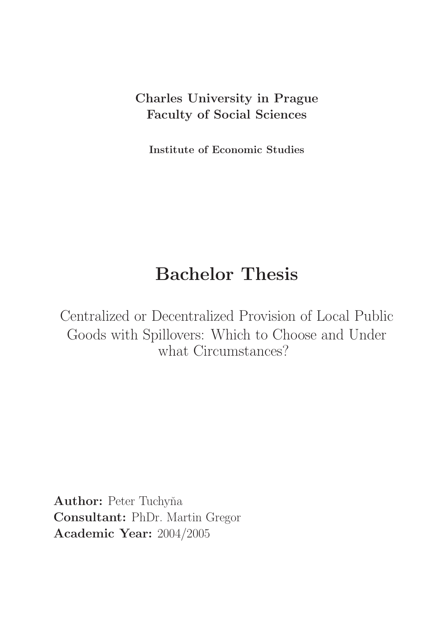## Charles University in Prague Faculty of Social Sciences

Institute of Economic Studies

# Bachelor Thesis

Centralized or Decentralized Provision of Local Public Goods with Spillovers: Which to Choose and Under what Circumstances?

Author: Peter Tuchyňa Consultant: PhDr. Martin Gregor Academic Year: 2004/2005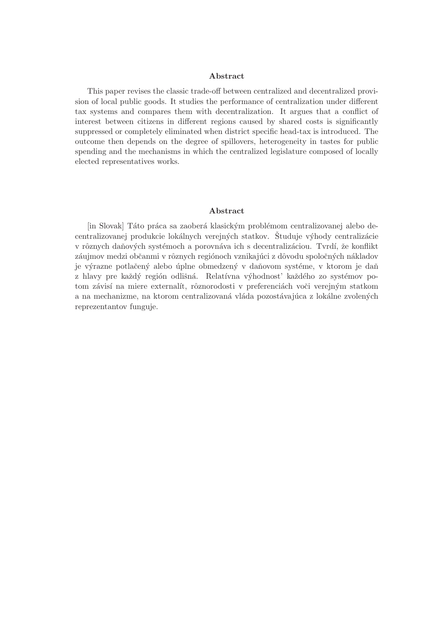#### Abstract

This paper revises the classic trade-off between centralized and decentralized provision of local public goods. It studies the performance of centralization under different tax systems and compares them with decentralization. It argues that a conflict of interest between citizens in different regions caused by shared costs is significantly suppressed or completely eliminated when district specific head-tax is introduced. The outcome then depends on the degree of spillovers, heterogeneity in tastes for public spending and the mechanisms in which the centralized legislature composed of locally elected representatives works.

#### Abstract

[in Slovak] Táto práca sa zaoberá klasickým problémom centralizovanej alebo decentralizovanej produkcie lokálnych verejných statkov. Študuje výhody centralizácie v rôznych daňových systémoch a porovnáva ich s decentralizáciou. Tvrdí, že konflikt záujmov medzi občanmi v rôznych regiónoch vznikajúci z dôvodu spoločných nákladov je výrazne potlačený alebo úplne obmedzený v daňovom systéme, v ktorom je daň z hlavy pre každý región odlišná. Relatívna výhodnost' každého zo systémov potom závisí na miere externalít, rôznorodosti v preferenciách voči verejným statkom a na mechanizme, na ktorom centralizovaná vláda pozostávajúca z lokálne zvolených reprezentantov funguje.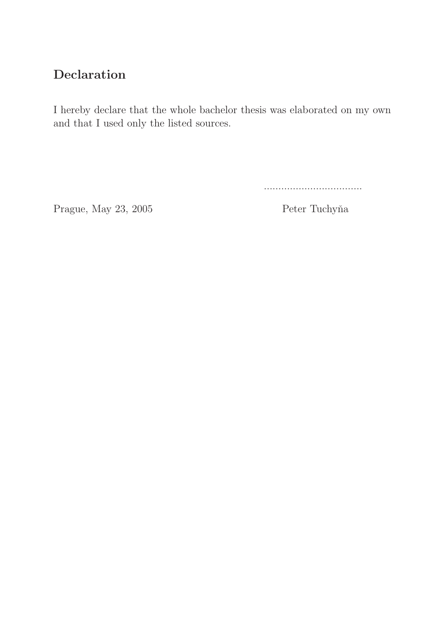## Declaration

I hereby declare that the whole bachelor thesis was elaborated on my own and that I used only the listed sources.

..................................

Prague, May 23, 2005 Peter Tuchyňa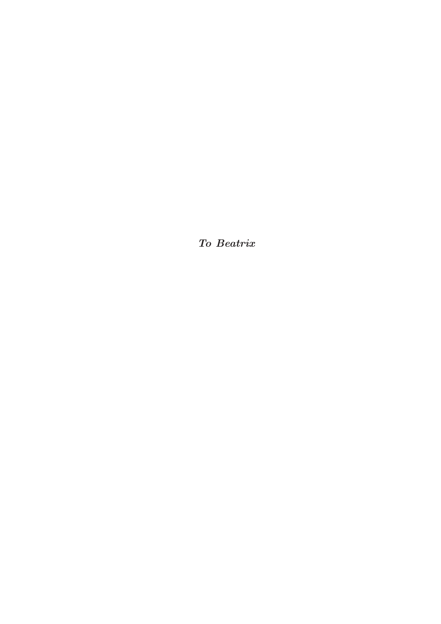To Beatrix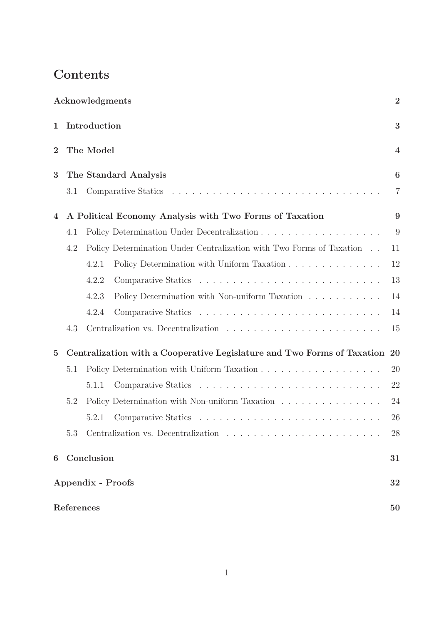## Contents

|                |                                                                            | Acknowledgments |                                                                      | $\overline{2}$          |
|----------------|----------------------------------------------------------------------------|-----------------|----------------------------------------------------------------------|-------------------------|
| 1              | Introduction<br>The Model                                                  |                 |                                                                      | 3                       |
| $\overline{2}$ |                                                                            |                 |                                                                      | $\overline{\mathbf{4}}$ |
| 3              | The Standard Analysis                                                      |                 |                                                                      | 6                       |
|                | 3.1                                                                        |                 |                                                                      |                         |
| 4              | A Political Economy Analysis with Two Forms of Taxation                    |                 |                                                                      | 9                       |
|                | 4.1                                                                        |                 |                                                                      | 9                       |
|                | 4.2                                                                        |                 | Policy Determination Under Centralization with Two Forms of Taxation | 11                      |
|                |                                                                            | 4.2.1           | Policy Determination with Uniform Taxation                           | 12                      |
|                |                                                                            | 4.2.2           |                                                                      | 13                      |
|                |                                                                            | 4.2.3           | Policy Determination with Non-uniform Taxation                       | 14                      |
|                |                                                                            | 4.2.4           |                                                                      | 14                      |
|                | 4.3                                                                        |                 |                                                                      | 15                      |
| $\mathbf{5}$   | Centralization with a Cooperative Legislature and Two Forms of Taxation 20 |                 |                                                                      |                         |
|                | 5.1                                                                        |                 |                                                                      | 20                      |
|                |                                                                            | 5.1.1           |                                                                      | 22                      |
|                | 5.2                                                                        |                 | Policy Determination with Non-uniform Taxation                       | 24                      |
|                |                                                                            | 5.2.1           |                                                                      | 26                      |
|                | 5.3                                                                        |                 |                                                                      | 28                      |
| 6              | Conclusion                                                                 |                 |                                                                      | 31                      |
|                | <b>Appendix - Proofs</b>                                                   |                 |                                                                      |                         |
|                | References<br>50                                                           |                 |                                                                      |                         |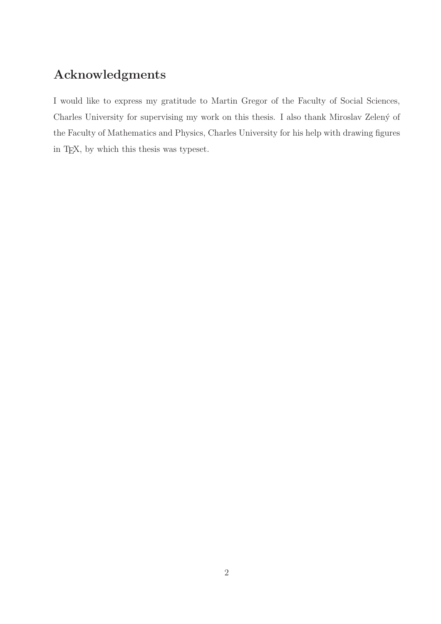## Acknowledgments

I would like to express my gratitude to Martin Gregor of the Faculty of Social Sciences, Charles University for supervising my work on this thesis. I also thank Miroslav Zelený of the Faculty of Mathematics and Physics, Charles University for his help with drawing figures in TEX, by which this thesis was typeset.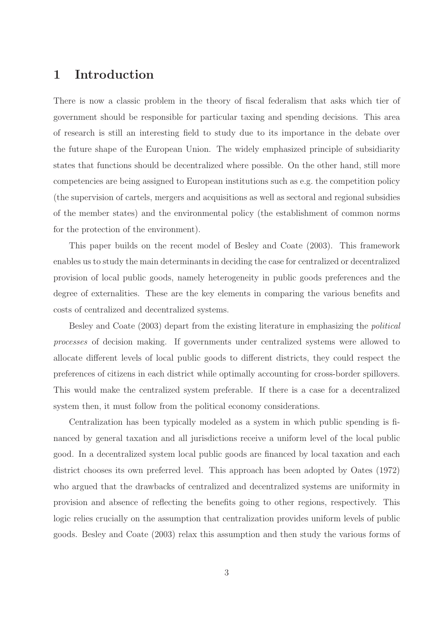### 1 Introduction

There is now a classic problem in the theory of fiscal federalism that asks which tier of government should be responsible for particular taxing and spending decisions. This area of research is still an interesting field to study due to its importance in the debate over the future shape of the European Union. The widely emphasized principle of subsidiarity states that functions should be decentralized where possible. On the other hand, still more competencies are being assigned to European institutions such as e.g. the competition policy (the supervision of cartels, mergers and acquisitions as well as sectoral and regional subsidies of the member states) and the environmental policy (the establishment of common norms for the protection of the environment).

This paper builds on the recent model of Besley and Coate (2003). This framework enables us to study the main determinants in deciding the case for centralized or decentralized provision of local public goods, namely heterogeneity in public goods preferences and the degree of externalities. These are the key elements in comparing the various benefits and costs of centralized and decentralized systems.

Besley and Coate (2003) depart from the existing literature in emphasizing the political processes of decision making. If governments under centralized systems were allowed to allocate different levels of local public goods to different districts, they could respect the preferences of citizens in each district while optimally accounting for cross-border spillovers. This would make the centralized system preferable. If there is a case for a decentralized system then, it must follow from the political economy considerations.

Centralization has been typically modeled as a system in which public spending is financed by general taxation and all jurisdictions receive a uniform level of the local public good. In a decentralized system local public goods are financed by local taxation and each district chooses its own preferred level. This approach has been adopted by Oates (1972) who argued that the drawbacks of centralized and decentralized systems are uniformity in provision and absence of reflecting the benefits going to other regions, respectively. This logic relies crucially on the assumption that centralization provides uniform levels of public goods. Besley and Coate (2003) relax this assumption and then study the various forms of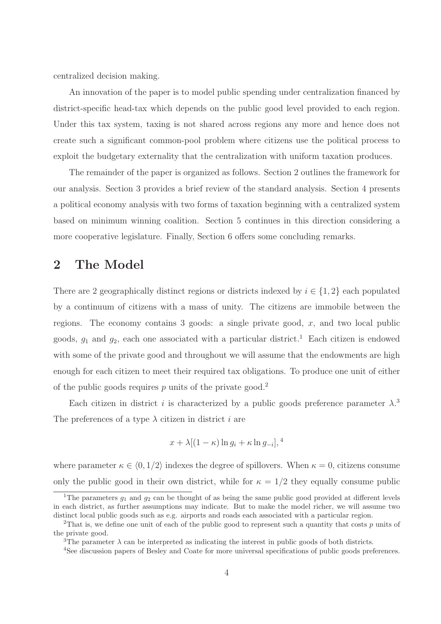centralized decision making.

An innovation of the paper is to model public spending under centralization financed by district-specific head-tax which depends on the public good level provided to each region. Under this tax system, taxing is not shared across regions any more and hence does not create such a significant common-pool problem where citizens use the political process to exploit the budgetary externality that the centralization with uniform taxation produces.

The remainder of the paper is organized as follows. Section 2 outlines the framework for our analysis. Section 3 provides a brief review of the standard analysis. Section 4 presents a political economy analysis with two forms of taxation beginning with a centralized system based on minimum winning coalition. Section 5 continues in this direction considering a more cooperative legislature. Finally, Section 6 offers some concluding remarks.

### 2 The Model

There are 2 geographically distinct regions or districts indexed by  $i \in \{1,2\}$  each populated by a continuum of citizens with a mass of unity. The citizens are immobile between the regions. The economy contains 3 goods: a single private good,  $x$ , and two local public goods,  $g_1$  and  $g_2$ , each one associated with a particular district.<sup>1</sup> Each citizen is endowed with some of the private good and throughout we will assume that the endowments are high enough for each citizen to meet their required tax obligations. To produce one unit of either of the public goods requires  $p$  units of the private good.<sup>2</sup>

Each citizen in district i is characterized by a public goods preference parameter  $\lambda$ <sup>3</sup> The preferences of a type  $\lambda$  citizen in district i are

$$
x + \lambda [(1 - \kappa) \ln g_i + \kappa \ln g_{-i}],^4
$$

where parameter  $\kappa \in \langle 0, 1/2 \rangle$  indexes the degree of spillovers. When  $\kappa = 0$ , citizens consume only the public good in their own district, while for  $\kappa = 1/2$  they equally consume public

<sup>&</sup>lt;sup>1</sup>The parameters  $g_1$  and  $g_2$  can be thought of as being the same public good provided at different levels in each district, as further assumptions may indicate. But to make the model richer, we will assume two distinct local public goods such as e.g. airports and roads each associated with a particular region.

<sup>&</sup>lt;sup>2</sup>That is, we define one unit of each of the public good to represent such a quantity that costs p units of the private good.

<sup>&</sup>lt;sup>3</sup>The parameter  $\lambda$  can be interpreted as indicating the interest in public goods of both districts.

<sup>&</sup>lt;sup>4</sup>See discussion papers of Besley and Coate for more universal specifications of public goods preferences.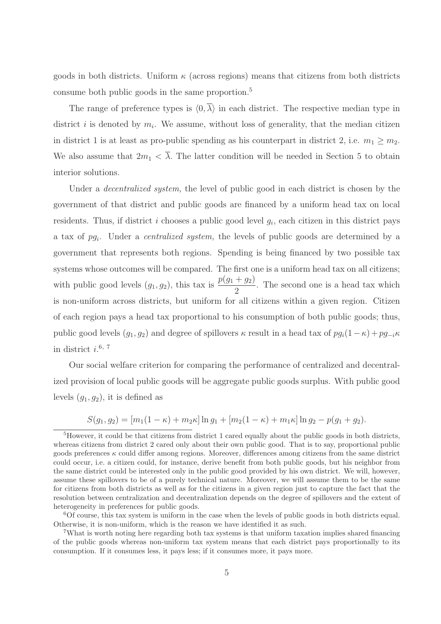goods in both districts. Uniform  $\kappa$  (across regions) means that citizens from both districts consume both public goods in the same proportion.<sup>5</sup>

The range of preference types is  $\langle 0, \overline{\lambda} \rangle$  in each district. The respective median type in district i is denoted by  $m_i$ . We assume, without loss of generality, that the median citizen in district 1 is at least as pro-public spending as his counterpart in district 2, i.e.  $m_1 \geq m_2$ . We also assume that  $2m_1 < \overline{\lambda}$ . The latter condition will be needed in Section 5 to obtain interior solutions.

Under a *decentralized system*, the level of public good in each district is chosen by the government of that district and public goods are financed by a uniform head tax on local residents. Thus, if district i chooses a public good level  $g_i$ , each citizen in this district pays a tax of  $pg_i$ . Under a *centralized system*, the levels of public goods are determined by a government that represents both regions. Spending is being financed by two possible tax systems whose outcomes will be compared. The first one is a uniform head tax on all citizens; with public good levels  $(g_1, g_2)$ , this tax is  $\frac{p(g_1 + g_2)}{2}$ . The second one is a head tax which is non-uniform across districts, but uniform for all citizens within a given region. Citizen of each region pays a head tax proportional to his consumption of both public goods; thus, public good levels  $(g_1, g_2)$  and degree of spillovers  $\kappa$  result in a head tax of  $pg_i(1-\kappa)+pg_{-i}\kappa$ in district  $i$ <sup>6, 7</sup>

Our social welfare criterion for comparing the performance of centralized and decentralized provision of local public goods will be aggregate public goods surplus. With public good levels  $(g_1, g_2)$ , it is defined as

$$
S(g_1, g_2) = [m_1(1 - \kappa) + m_2\kappa] \ln g_1 + [m_2(1 - \kappa) + m_1\kappa] \ln g_2 - p(g_1 + g_2).
$$

 ${}^{6}$ Of course, this tax system is uniform in the case when the levels of public goods in both districts equal. Otherwise, it is non-uniform, which is the reason we have identified it as such.

<sup>7</sup>What is worth noting here regarding both tax systems is that uniform taxation implies shared financing of the public goods whereas non-uniform tax system means that each district pays proportionally to its consumption. If it consumes less, it pays less; if it consumes more, it pays more.

<sup>&</sup>lt;sup>5</sup>However, it could be that citizens from district 1 cared equally about the public goods in both districts, whereas citizens from district 2 cared only about their own public good. That is to say, proportional public goods preferences  $\kappa$  could differ among regions. Moreover, differences among citizens from the same district could occur, i.e. a citizen could, for instance, derive benefit from both public goods, but his neighbor from the same district could be interested only in the public good provided by his own district. We will, however, assume these spillovers to be of a purely technical nature. Moreover, we will assume them to be the same for citizens from both districts as well as for the citizens in a given region just to capture the fact that the resolution between centralization and decentralization depends on the degree of spillovers and the extent of heterogeneity in preferences for public goods.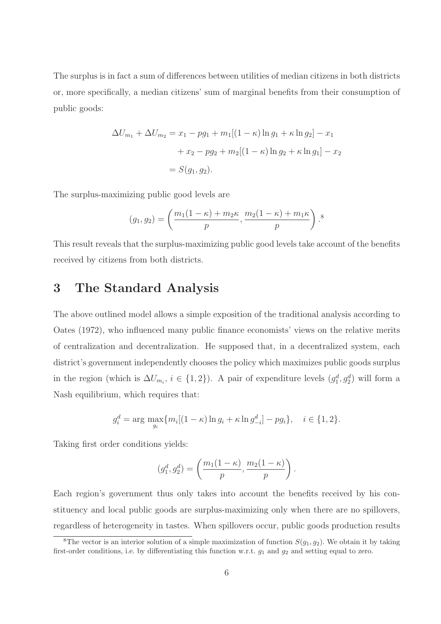The surplus is in fact a sum of differences between utilities of median citizens in both districts or, more specifically, a median citizens' sum of marginal benefits from their consumption of public goods:

$$
\Delta U_{m_1} + \Delta U_{m_2} = x_1 - pg_1 + m_1[(1 - \kappa)\ln g_1 + \kappa \ln g_2] - x_1
$$

$$
+ x_2 - pg_2 + m_2[(1 - \kappa)\ln g_2 + \kappa \ln g_1] - x_2
$$

$$
= S(g_1, g_2).
$$

The surplus-maximizing public good levels are

$$
(g_1, g_2) = \left(\frac{m_1(1-\kappa) + m_2\kappa}{p}, \frac{m_2(1-\kappa) + m_1\kappa}{p}\right).
$$
<sup>8</sup>

This result reveals that the surplus-maximizing public good levels take account of the benefits received by citizens from both districts.

### 3 The Standard Analysis

The above outlined model allows a simple exposition of the traditional analysis according to Oates (1972), who influenced many public finance economists' views on the relative merits of centralization and decentralization. He supposed that, in a decentralized system, each district's government independently chooses the policy which maximizes public goods surplus in the region (which is  $\Delta U_{m_i}$ ,  $i \in \{1, 2\}$ ). A pair of expenditure levels  $(g_1^d, g_2^d)$  will form a Nash equilibrium, which requires that:

$$
g_i^d = \arg \max_{g_i} \{ m_i [(1 - \kappa) \ln g_i + \kappa \ln g_{-i}^d] - pg_i \}, \quad i \in \{1, 2\}.
$$

Taking first order conditions yields:

$$
(g_1^d, g_2^d) = \left(\frac{m_1(1-\kappa)}{p}, \frac{m_2(1-\kappa)}{p}\right).
$$

Each region's government thus only takes into account the benefits received by his constituency and local public goods are surplus-maximizing only when there are no spillovers, regardless of heterogeneity in tastes. When spillovers occur, public goods production results

<sup>&</sup>lt;sup>8</sup>The vector is an interior solution of a simple maximization of function  $S(g_1, g_2)$ . We obtain it by taking first-order conditions, i.e. by differentiating this function w.r.t.  $g_1$  and  $g_2$  and setting equal to zero.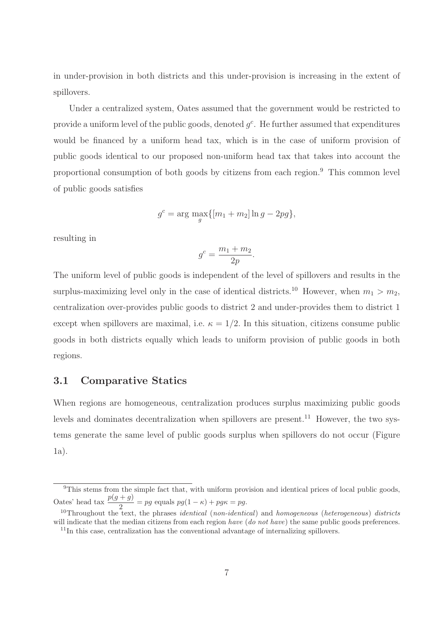in under-provision in both districts and this under-provision is increasing in the extent of spillovers.

Under a centralized system, Oates assumed that the government would be restricted to provide a uniform level of the public goods, denoted  $g<sup>c</sup>$ . He further assumed that expenditures would be financed by a uniform head tax, which is in the case of uniform provision of public goods identical to our proposed non-uniform head tax that takes into account the proportional consumption of both goods by citizens from each region.<sup>9</sup> This common level of public goods satisfies

$$
g^{c} = \arg \max_{g} \{ [m_1 + m_2] \ln g - 2pg \},\
$$

resulting in

$$
g^c=\frac{m_1+m_2}{2p}
$$

.

The uniform level of public goods is independent of the level of spillovers and results in the surplus-maximizing level only in the case of identical districts.<sup>10</sup> However, when  $m_1 > m_2$ , centralization over-provides public goods to district 2 and under-provides them to district 1 except when spillovers are maximal, i.e.  $\kappa = 1/2$ . In this situation, citizens consume public goods in both districts equally which leads to uniform provision of public goods in both regions.

#### 3.1 Comparative Statics

When regions are homogeneous, centralization produces surplus maximizing public goods levels and dominates decentralization when spillovers are present.<sup>11</sup> However, the two systems generate the same level of public goods surplus when spillovers do not occur (Figure 1a).

<sup>&</sup>lt;sup>9</sup>This stems from the simple fact that, with uniform provision and identical prices of local public goods, Oates' head tax  $\frac{p(g+g)}{2} = pg$  equals  $pg(1-\kappa) + pg\kappa = pg$ .

<sup>&</sup>lt;sup>10</sup>Throughout the text, the phrases *identical* (*non-identical*) and *homogeneous* (*heterogeneous*) districts will indicate that the median citizens from each region have (do not have) the same public goods preferences. <sup>11</sup>In this case, centralization has the conventional advantage of internalizing spillovers.

<sup>7</sup>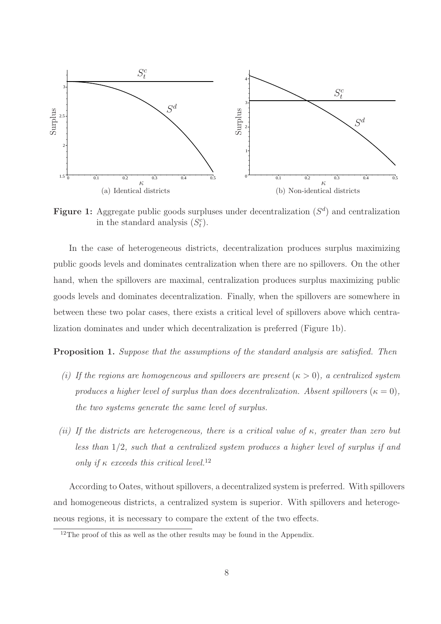

Figure 1: Aggregate public goods surpluses under decentralization  $(S<sup>d</sup>)$  and centralization in the standard analysis  $(S_t^c)$ .

In the case of heterogeneous districts, decentralization produces surplus maximizing public goods levels and dominates centralization when there are no spillovers. On the other hand, when the spillovers are maximal, centralization produces surplus maximizing public goods levels and dominates decentralization. Finally, when the spillovers are somewhere in between these two polar cases, there exists a critical level of spillovers above which centralization dominates and under which decentralization is preferred (Figure 1b).

Proposition 1. Suppose that the assumptions of the standard analysis are satisfied. Then

- (i) If the regions are homogeneous and spillovers are present  $(\kappa > 0)$ , a centralized system produces a higher level of surplus than does decentralization. Absent spillovers  $(\kappa = 0)$ , the two systems generate the same level of surplus.
- (ii) If the districts are heterogeneous, there is a critical value of  $\kappa$ , greater than zero but less than 1/2, such that a centralized system produces a higher level of surplus if and only if  $\kappa$  exceeds this critical level.<sup>12</sup>

According to Oates, without spillovers, a decentralized system is preferred. With spillovers and homogeneous districts, a centralized system is superior. With spillovers and heterogeneous regions, it is necessary to compare the extent of the two effects.

<sup>&</sup>lt;sup>12</sup>The proof of this as well as the other results may be found in the Appendix.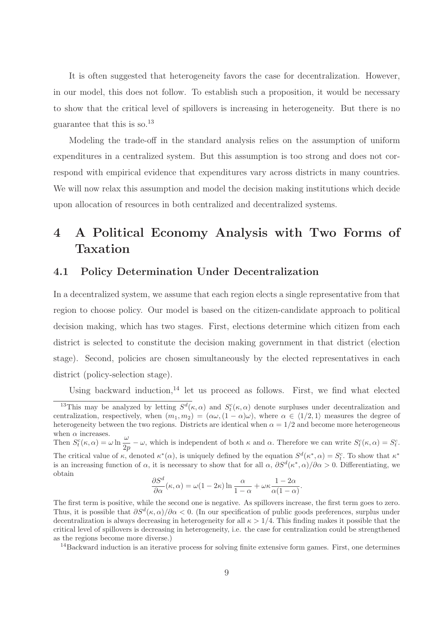It is often suggested that heterogeneity favors the case for decentralization. However, in our model, this does not follow. To establish such a proposition, it would be necessary to show that the critical level of spillovers is increasing in heterogeneity. But there is no guarantee that this is so.<sup>13</sup>

Modeling the trade-off in the standard analysis relies on the assumption of uniform expenditures in a centralized system. But this assumption is too strong and does not correspond with empirical evidence that expenditures vary across districts in many countries. We will now relax this assumption and model the decision making institutions which decide upon allocation of resources in both centralized and decentralized systems.

## 4 A Political Economy Analysis with Two Forms of Taxation

#### 4.1 Policy Determination Under Decentralization

obtain

In a decentralized system, we assume that each region elects a single representative from that region to choose policy. Our model is based on the citizen-candidate approach to political decision making, which has two stages. First, elections determine which citizen from each district is selected to constitute the decision making government in that district (election stage). Second, policies are chosen simultaneously by the elected representatives in each district (policy-selection stage).

Using backward induction,<sup>14</sup> let us proceed as follows. First, we find what elected

$$
\frac{\partial S^d}{\partial \alpha}(\kappa, \alpha) = \omega(1 - 2\kappa) \ln \frac{\alpha}{1 - \alpha} + \omega \kappa \frac{1 - 2\alpha}{\alpha(1 - \alpha)}.
$$

<sup>14</sup>Backward induction is an iterative process for solving finite extensive form games. First, one determines

<sup>&</sup>lt;sup>13</sup>This may be analyzed by letting  $S^d(\kappa, \alpha)$  and  $S^c(\kappa, \alpha)$  denote surpluses under decentralization and centralization, respectively, when  $(m_1, m_2) = (\alpha \omega, (1 - \alpha) \omega)$ , where  $\alpha \in \langle 1/2, 1 \rangle$  measures the degree of heterogeneity between the two regions. Districts are identical when  $\alpha = 1/2$  and become more heterogeneous when  $\alpha$  increases. Then  $S_t^c(\kappa, \alpha) = \omega \ln \frac{\omega}{2p} - \omega$ , which is independent of both  $\kappa$  and  $\alpha$ . Therefore we can write  $S_t^c(\kappa, \alpha) = S_t^c$ . The critical value of  $\kappa$ , denoted  $\kappa^*(\alpha)$ , is uniquely defined by the equation  $S^d(\kappa^*, \alpha) = S_t^c$ . To show that  $\kappa^*$ is an increasing function of  $\alpha$ , it is necessary to show that for all  $\alpha$ ,  $\partial S^d(\kappa^*,\alpha)/\partial \alpha > 0$ . Differentiating, we

The first term is positive, while the second one is negative. As spillovers increase, the first term goes to zero. Thus, it is possible that  $\partial S^d(\kappa, \alpha)/\partial \alpha < 0$ . (In our specification of public goods preferences, surplus under decentralization is always decreasing in heterogeneity for all  $\kappa > 1/4$ . This finding makes it possible that the critical level of spillovers is decreasing in heterogeneity, i.e. the case for centralization could be strengthened as the regions become more diverse.)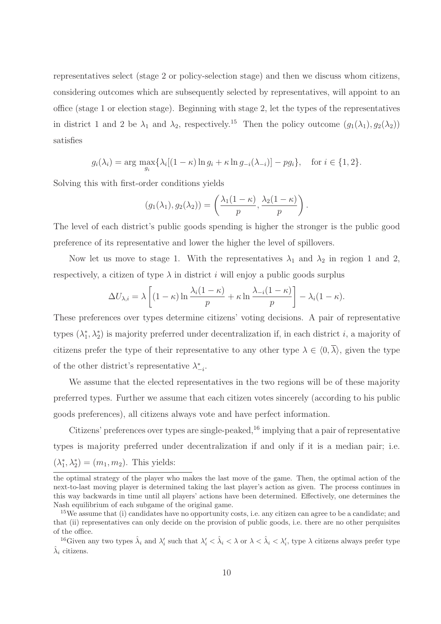representatives select (stage 2 or policy-selection stage) and then we discuss whom citizens, considering outcomes which are subsequently selected by representatives, will appoint to an office (stage 1 or election stage). Beginning with stage 2, let the types of the representatives in district 1 and 2 be  $\lambda_1$  and  $\lambda_2$ , respectively.<sup>15</sup> Then the policy outcome  $(g_1(\lambda_1),g_2(\lambda_2))$ satisfies

$$
g_i(\lambda_i) = \arg \max_{g_i} \{ \lambda_i [(1 - \kappa) \ln g_i + \kappa \ln g_{-i}(\lambda_{-i})] - pg_i \}, \text{ for } i \in \{1, 2\}.
$$

Solving this with first-order conditions yields

$$
(g_1(\lambda_1), g_2(\lambda_2)) = \left(\frac{\lambda_1(1-\kappa)}{p}, \frac{\lambda_2(1-\kappa)}{p}\right)
$$

.

The level of each district's public goods spending is higher the stronger is the public good preference of its representative and lower the higher the level of spillovers.

Now let us move to stage 1. With the representatives  $\lambda_1$  and  $\lambda_2$  in region 1 and 2, respectively, a citizen of type  $\lambda$  in district i will enjoy a public goods surplus

$$
\Delta U_{\lambda,i} = \lambda \left[ (1 - \kappa) \ln \frac{\lambda_i (1 - \kappa)}{p} + \kappa \ln \frac{\lambda_{-i} (1 - \kappa)}{p} \right] - \lambda_i (1 - \kappa).
$$

These preferences over types determine citizens' voting decisions. A pair of representative types  $(\lambda_1^*)$ <sup>\*</sup><sub>1</sub>,  $\lambda_2^*$ ) is majority preferred under decentralization if, in each district *i*, a majority of citizens prefer the type of their representative to any other type  $\lambda \in \langle 0, \overline{\lambda} \rangle$ , given the type of the other district's representative  $\lambda^*_{-i}$ .

We assume that the elected representatives in the two regions will be of these majority preferred types. Further we assume that each citizen votes sincerely (according to his public goods preferences), all citizens always vote and have perfect information.

Citizens' preferences over types are single-peaked,  $^{16}$  implying that a pair of representative types is majority preferred under decentralization if and only if it is a median pair; i.e.  $(\lambda_1^*$  $\lambda_1^*, \lambda_2^*$  =  $(m_1, m_2)$ . This yields:

the optimal strategy of the player who makes the last move of the game. Then, the optimal action of the next-to-last moving player is determined taking the last player's action as given. The process continues in this way backwards in time until all players' actions have been determined. Effectively, one determines the Nash equilibrium of each subgame of the original game.

<sup>&</sup>lt;sup>15</sup>We assume that (i) candidates have no opportunity costs, i.e. any citizen can agree to be a candidate; and that (ii) representatives can only decide on the provision of public goods, i.e. there are no other perquisites of the office.

<sup>&</sup>lt;sup>16</sup>Given any two types  $\hat{\lambda}_i$  and  $\lambda'_i$  such that  $\lambda'_i < \hat{\lambda}_i < \lambda$  or  $\lambda < \hat{\lambda}_i < \lambda'_i$ , type  $\lambda$  citizens always prefer type  $\hat{\lambda}_i$  citizens.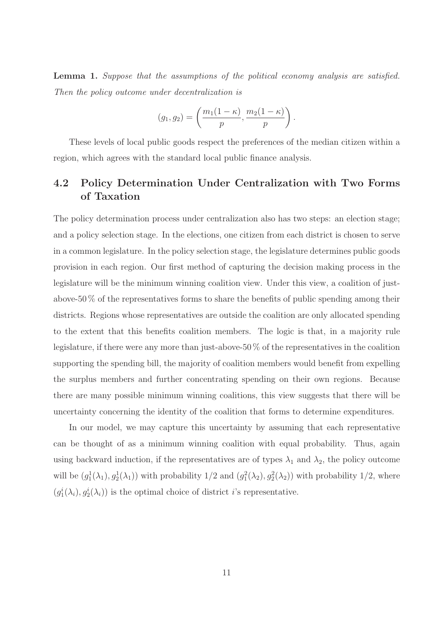Lemma 1. Suppose that the assumptions of the political economy analysis are satisfied. Then the policy outcome under decentralization is

$$
(g_1, g_2) = \left(\frac{m_1(1-\kappa)}{p}, \frac{m_2(1-\kappa)}{p}\right).
$$

These levels of local public goods respect the preferences of the median citizen within a region, which agrees with the standard local public finance analysis.

### 4.2 Policy Determination Under Centralization with Two Forms of Taxation

The policy determination process under centralization also has two steps: an election stage; and a policy selection stage. In the elections, one citizen from each district is chosen to serve in a common legislature. In the policy selection stage, the legislature determines public goods provision in each region. Our first method of capturing the decision making process in the legislature will be the minimum winning coalition view. Under this view, a coalition of justabove-50 % of the representatives forms to share the benefits of public spending among their districts. Regions whose representatives are outside the coalition are only allocated spending to the extent that this benefits coalition members. The logic is that, in a majority rule legislature, if there were any more than just-above-50 % of the representatives in the coalition supporting the spending bill, the majority of coalition members would benefit from expelling the surplus members and further concentrating spending on their own regions. Because there are many possible minimum winning coalitions, this view suggests that there will be uncertainty concerning the identity of the coalition that forms to determine expenditures.

In our model, we may capture this uncertainty by assuming that each representative can be thought of as a minimum winning coalition with equal probability. Thus, again using backward induction, if the representatives are of types  $\lambda_1$  and  $\lambda_2$ , the policy outcome will be  $(g_1^1(\lambda_1), g_2^1(\lambda_1))$  with probability  $1/2$  and  $(g_1^2(\lambda_2), g_2^2(\lambda_2))$  with probability  $1/2$ , where  $(g_1^i(\lambda_i), g_2^i(\lambda_i))$  is the optimal choice of district *i*'s representative.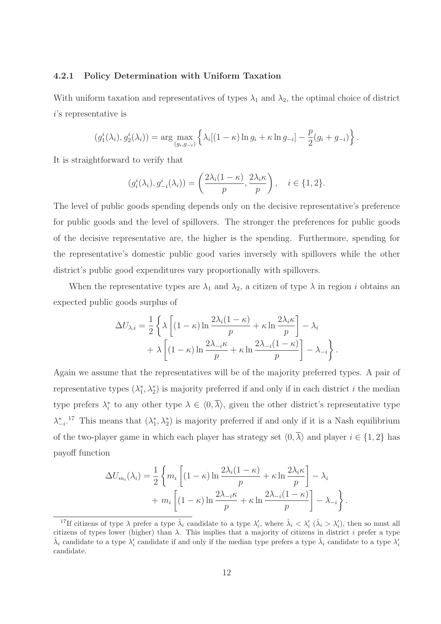#### 4.2.1 Policy Determination with Uniform Taxation

With uniform taxation and representatives of types  $\lambda_1$  and  $\lambda_2$ , the optimal choice of district i's representative is

$$
(g_1^i(\lambda_i), g_2^i(\lambda_i)) = \arg \max_{(g_i, g_{-i})} \left\{ \lambda_i [(1 - \kappa) \ln g_i + \kappa \ln g_{-i}] - \frac{p}{2} (g_i + g_{-i}) \right\}.
$$

It is straightforward to verify that

$$
(g_i^i(\lambda_i), g_{-i}^i(\lambda_i)) = \left(\frac{2\lambda_i(1-\kappa)}{p}, \frac{2\lambda_i\kappa}{p}\right), \quad i \in \{1, 2\}.
$$

The level of public goods spending depends only on the decisive representative's preference for public goods and the level of spillovers. The stronger the preferences for public goods of the decisive representative are, the higher is the spending. Furthermore, spending for the representative's domestic public good varies inversely with spillovers while the other district's public good expenditures vary proportionally with spillovers.

When the representative types are  $\lambda_1$  and  $\lambda_2$ , a citizen of type  $\lambda$  in region i obtains an expected public goods surplus of

$$
\Delta U_{\lambda,i} = \frac{1}{2} \left\{ \lambda \left[ (1 - \kappa) \ln \frac{2\lambda_i (1 - \kappa)}{p} + \kappa \ln \frac{2\lambda_i \kappa}{p} \right] - \lambda_i + \lambda \left[ (1 - \kappa) \ln \frac{2\lambda_{-i} \kappa}{p} + \kappa \ln \frac{2\lambda_{-i} (1 - \kappa)}{p} \right] - \lambda_{-i} \right\}.
$$

Again we assume that the representatives will be of the majority preferred types. A pair of representative types  $(\lambda_1^*)$ <sup>\*</sup><sub>1</sub>,  $\lambda_2^*$ ) is majority preferred if and only if in each district *i* the median type prefers  $\lambda_i^*$ \*,\* to any other type  $\lambda \in (0, \lambda)$ , given the other district's representative type  $\lambda_{-i}^*$ .<sup>17</sup> This means that  $(\lambda_1^*$  $\chi_1^*, \lambda_2^*$ ) is majority preferred if and only if it is a Nash equilibrium of the two-player game in which each player has strategy set  $\langle 0, \overline{\lambda} \rangle$  and player  $i \in \{1, 2\}$  has payoff function

$$
\Delta U_{m_i}(\lambda_i) = \frac{1}{2} \left\{ m_i \left[ (1 - \kappa) \ln \frac{2\lambda_i (1 - \kappa)}{p} + \kappa \ln \frac{2\lambda_i \kappa}{p} \right] - \lambda_i + m_i \left[ (1 - \kappa) \ln \frac{2\lambda_{-i} \kappa}{p} + \kappa \ln \frac{2\lambda_{-i} (1 - \kappa)}{p} \right] - \lambda_{-i} \right\}.
$$

<sup>&</sup>lt;sup>17</sup>If citizens of type  $\lambda$  prefer a type  $\hat{\lambda}_i$  candidate to a type  $\lambda'_i$ , where  $\hat{\lambda}_i < \lambda'_i$  ( $\hat{\lambda}_i > \lambda'_i$ ), then so must all citizens of types lower (higher) than  $\lambda$ . This implies that a majority of citizens in district i prefer a type  $\hat{\lambda}_i$  candidate to a type  $\lambda'_i$  candidate if and only if the median type prefers a type  $\hat{\lambda}_i$  candidate to a type  $\lambda'_i$ candidate.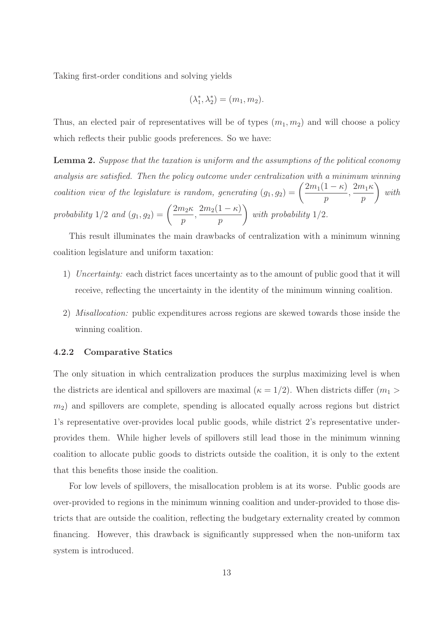Taking first-order conditions and solving yields

$$
(\lambda_1^*, \lambda_2^*) = (m_1, m_2).
$$

Thus, an elected pair of representatives will be of types  $(m_1, m_2)$  and will choose a policy which reflects their public goods preferences. So we have:

Lemma 2. Suppose that the taxation is uniform and the assumptions of the political economy analysis are satisfied. Then the policy outcome under centralization with a minimum winning coalition view of the legislature is random, generating  $(g_1, g_2) = \left(\frac{2m_1(1-\kappa)}{m_1}\right)$ p  $, \frac{2m_1\kappa}{\sqrt{m_1}}$ p  $\setminus$ with probability  $1/2$  and  $(g_1, g_2) = \left(\frac{2m_2\kappa}{\sigma}\right)$ p  $, \frac{2m_2(1-\kappa)}{2m_1}$ p  $\setminus$ with probability 1/2.

This result illuminates the main drawbacks of centralization with a minimum winning coalition legislature and uniform taxation:

- 1) Uncertainty: each district faces uncertainty as to the amount of public good that it will receive, reflecting the uncertainty in the identity of the minimum winning coalition.
- 2) Misallocation: public expenditures across regions are skewed towards those inside the winning coalition.

#### 4.2.2 Comparative Statics

The only situation in which centralization produces the surplus maximizing level is when the districts are identical and spillovers are maximal ( $\kappa = 1/2$ ). When districts differ ( $m_1 >$  $m<sub>2</sub>$ ) and spillovers are complete, spending is allocated equally across regions but district 1's representative over-provides local public goods, while district 2's representative underprovides them. While higher levels of spillovers still lead those in the minimum winning coalition to allocate public goods to districts outside the coalition, it is only to the extent that this benefits those inside the coalition.

For low levels of spillovers, the misallocation problem is at its worse. Public goods are over-provided to regions in the minimum winning coalition and under-provided to those districts that are outside the coalition, reflecting the budgetary externality created by common financing. However, this drawback is significantly suppressed when the non-uniform tax system is introduced.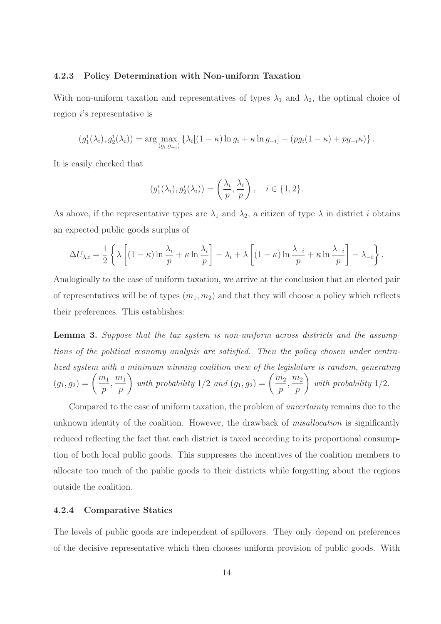#### 4.2.3 Policy Determination with Non-uniform Taxation

With non-uniform taxation and representatives of types  $\lambda_1$  and  $\lambda_2$ , the optimal choice of region i's representative is

$$
(g_1^i(\lambda_i), g_2^i(\lambda_i)) = \arg \max_{(g_i, g_{-i})} \left\{ \lambda_i [(1 - \kappa) \ln g_i + \kappa \ln g_{-i}] - (pg_i(1 - \kappa) + pg_{-i} \kappa) \right\}.
$$

It is easily checked that

$$
(g_1^i(\lambda_i), g_2^i(\lambda_i)) = \left(\frac{\lambda_i}{p}, \frac{\lambda_i}{p}\right), \quad i \in \{1, 2\}.
$$

As above, if the representative types are  $\lambda_1$  and  $\lambda_2$ , a citizen of type  $\lambda$  in district i obtains an expected public goods surplus of

$$
\Delta U_{\lambda,i} = \frac{1}{2} \left\{ \lambda \left[ (1 - \kappa) \ln \frac{\lambda_i}{p} + \kappa \ln \frac{\lambda_i}{p} \right] - \lambda_i + \lambda \left[ (1 - \kappa) \ln \frac{\lambda_{-i}}{p} + \kappa \ln \frac{\lambda_{-i}}{p} \right] - \lambda_{-i} \right\}.
$$

Analogically to the case of uniform taxation, we arrive at the conclusion that an elected pair of representatives will be of types  $(m_1, m_2)$  and that they will choose a policy which reflects their preferences. This establishes:

Lemma 3. Suppose that the tax system is non-uniform across districts and the assumptions of the political economy analysis are satisfied. Then the policy chosen under centralized system with a minimum winning coalition view of the legislature is random, generating  $(g_1, g_2) = \left(\frac{m_1}{m_1}\right)$ p  $\frac{m_1}{m_1}$ p with probability  $1/2$  and  $(g_1, g_2) = \left(\frac{m_2}{m_1}\right)^{1/2}$ p  $\frac{m_2}{a}$ p  $\setminus$ with probability 1/2.

Compared to the case of uniform taxation, the problem of uncertainty remains due to the unknown identity of the coalition. However, the drawback of *misallocation* is significantly reduced reflecting the fact that each district is taxed according to its proportional consumption of both local public goods. This suppresses the incentives of the coalition members to allocate too much of the public goods to their districts while forgetting about the regions outside the coalition.

#### 4.2.4 Comparative Statics

The levels of public goods are independent of spillovers. They only depend on preferences of the decisive representative which then chooses uniform provision of public goods. With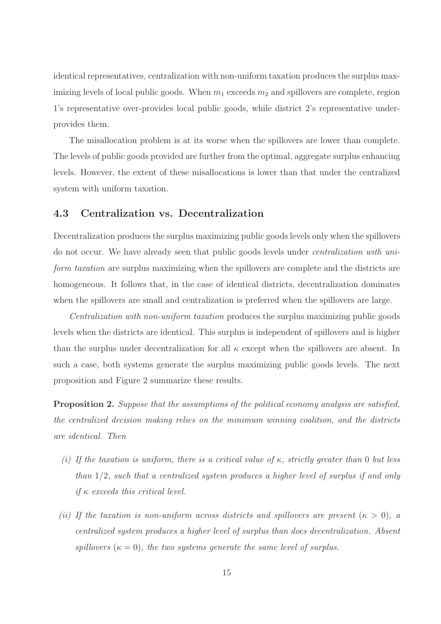identical representatives, centralization with non-uniform taxation produces the surplus maximizing levels of local public goods. When  $m_1$  exceeds  $m_2$  and spillovers are complete, region 1's representative over-provides local public goods, while district 2's representative underprovides them.

The misallocation problem is at its worse when the spillovers are lower than complete. The levels of public goods provided are further from the optimal, aggregate surplus enhancing levels. However, the extent of these misallocations is lower than that under the centralized system with uniform taxation.

#### 4.3 Centralization vs. Decentralization

Decentralization produces the surplus maximizing public goods levels only when the spillovers do not occur. We have already seen that public goods levels under centralization with uniform taxation are surplus maximizing when the spillovers are complete and the districts are homogeneous. It follows that, in the case of identical districts, decentralization dominates when the spillovers are small and centralization is preferred when the spillovers are large.

Centralization with non-uniform taxation produces the surplus maximizing public goods levels when the districts are identical. This surplus is independent of spillovers and is higher than the surplus under decentralization for all  $\kappa$  except when the spillovers are absent. In such a case, both systems generate the surplus maximizing public goods levels. The next proposition and Figure 2 summarize these results.

Proposition 2. Suppose that the assumptions of the political economy analysis are satisfied, the centralized decision making relies on the minimum winning coalition, and the districts are identical. Then

- (i) If the taxation is uniform, there is a critical value of  $\kappa$ , strictly greater than 0 but less than 1/2, such that a centralized system produces a higher level of surplus if and only if  $\kappa$  exceeds this critical level.
- (ii) If the taxation is non-uniform across districts and spillovers are present  $(\kappa > 0)$ , a centralized system produces a higher level of surplus than does decentralization. Absent spillovers  $(\kappa = 0)$ , the two systems generate the same level of surplus.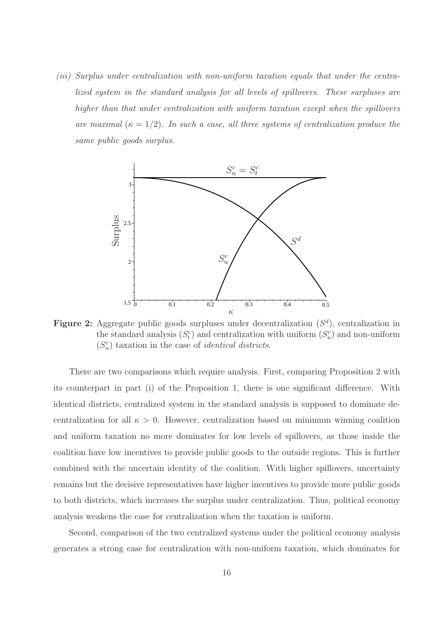(iii) Surplus under centralization with non-uniform taxation equals that under the centralized system in the standard analysis for all levels of spillovers. These surpluses are higher than that under centralization with uniform taxation except when the spillovers are maximal  $(\kappa = 1/2)$ . In such a case, all three systems of centralization produce the same public goods surplus.



**Figure 2:** Aggregate public goods surpluses under decentralization  $(S<sup>d</sup>)$ , centralization in the standard analysis  $(S_t^c)$  and centralization with uniform  $(S_u^c)$  and non-uniform  $(S_n^c)$  taxation in the case of *identical districts*.

There are two comparisons which require analysis. First, comparing Proposition 2 with its counterpart in part (i) of the Proposition 1, there is one significant difference. With identical districts, centralized system in the standard analysis is supposed to dominate decentralization for all  $\kappa > 0$ . However, centralization based on minimum winning coalition and uniform taxation no more dominates for low levels of spillovers, as those inside the coalition have low incentives to provide public goods to the outside regions. This is further combined with the uncertain identity of the coalition. With higher spillovers, uncertainty remains but the decisive representatives have higher incentives to provide more public goods to both districts, which increases the surplus under centralization. Thus, political economy analysis weakens the case for centralization when the taxation is uniform.

Second, comparison of the two centralized systems under the political economy analysis generates a strong case for centralization with non-uniform taxation, which dominates for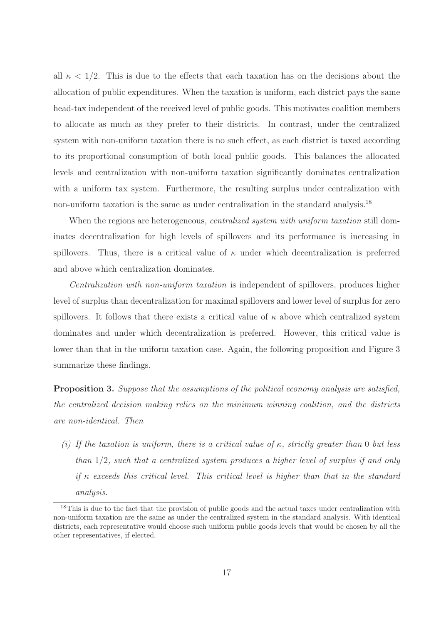all  $\kappa < 1/2$ . This is due to the effects that each taxation has on the decisions about the allocation of public expenditures. When the taxation is uniform, each district pays the same head-tax independent of the received level of public goods. This motivates coalition members to allocate as much as they prefer to their districts. In contrast, under the centralized system with non-uniform taxation there is no such effect, as each district is taxed according to its proportional consumption of both local public goods. This balances the allocated levels and centralization with non-uniform taxation significantly dominates centralization with a uniform tax system. Furthermore, the resulting surplus under centralization with non-uniform taxation is the same as under centralization in the standard analysis.<sup>18</sup>

When the regions are heterogeneous, *centralized system with uniform taxation* still dominates decentralization for high levels of spillovers and its performance is increasing in spillovers. Thus, there is a critical value of  $\kappa$  under which decentralization is preferred and above which centralization dominates.

Centralization with non-uniform taxation is independent of spillovers, produces higher level of surplus than decentralization for maximal spillovers and lower level of surplus for zero spillovers. It follows that there exists a critical value of  $\kappa$  above which centralized system dominates and under which decentralization is preferred. However, this critical value is lower than that in the uniform taxation case. Again, the following proposition and Figure 3 summarize these findings.

Proposition 3. Suppose that the assumptions of the political economy analysis are satisfied, the centralized decision making relies on the minimum winning coalition, and the districts are non-identical. Then

(i) If the taxation is uniform, there is a critical value of  $\kappa$ , strictly greater than 0 but less than 1/2, such that a centralized system produces a higher level of surplus if and only if  $\kappa$  exceeds this critical level. This critical level is higher than that in the standard analysis.

<sup>&</sup>lt;sup>18</sup>This is due to the fact that the provision of public goods and the actual taxes under centralization with non-uniform taxation are the same as under the centralized system in the standard analysis. With identical districts, each representative would choose such uniform public goods levels that would be chosen by all the other representatives, if elected.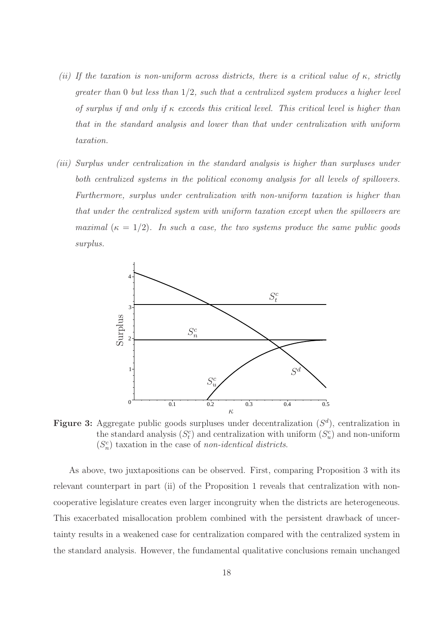- (ii) If the taxation is non-uniform across districts, there is a critical value of  $\kappa$ , strictly greater than  $0$  but less than  $1/2$ , such that a centralized system produces a higher level of surplus if and only if  $\kappa$  exceeds this critical level. This critical level is higher than that in the standard analysis and lower than that under centralization with uniform taxation.
- (iii) Surplus under centralization in the standard analysis is higher than surpluses under both centralized systems in the political economy analysis for all levels of spillovers. Furthermore, surplus under centralization with non-uniform taxation is higher than that under the centralized system with uniform taxation except when the spillovers are maximal  $(\kappa = 1/2)$ . In such a case, the two systems produce the same public goods surplus.



**Figure 3:** Aggregate public goods surpluses under decentralization  $(S^d)$ , centralization in the standard analysis  $(S_t^c)$  and centralization with uniform  $(S_u^c)$  and non-uniform  $(S_n^c)$  taxation in the case of non-identical districts.

As above, two juxtapositions can be observed. First, comparing Proposition 3 with its relevant counterpart in part (ii) of the Proposition 1 reveals that centralization with noncooperative legislature creates even larger incongruity when the districts are heterogeneous. This exacerbated misallocation problem combined with the persistent drawback of uncertainty results in a weakened case for centralization compared with the centralized system in the standard analysis. However, the fundamental qualitative conclusions remain unchanged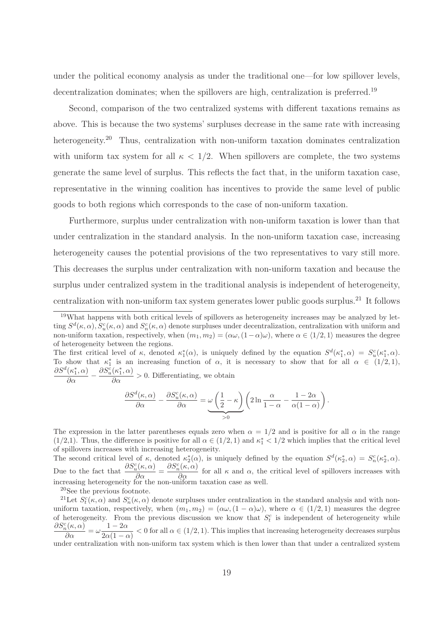under the political economy analysis as under the traditional one—for low spillover levels, decentralization dominates; when the spillovers are high, centralization is preferred.<sup>19</sup>

Second, comparison of the two centralized systems with different taxations remains as above. This is because the two systems' surpluses decrease in the same rate with increasing heterogeneity.<sup>20</sup> Thus, centralization with non-uniform taxation dominates centralization with uniform tax system for all  $\kappa < 1/2$ . When spillovers are complete, the two systems generate the same level of surplus. This reflects the fact that, in the uniform taxation case, representative in the winning coalition has incentives to provide the same level of public goods to both regions which corresponds to the case of non-uniform taxation.

Furthermore, surplus under centralization with non-uniform taxation is lower than that under centralization in the standard analysis. In the non-uniform taxation case, increasing heterogeneity causes the potential provisions of the two representatives to vary still more. This decreases the surplus under centralization with non-uniform taxation and because the surplus under centralized system in the traditional analysis is independent of heterogeneity, centralization with non-uniform tax system generates lower public goods surplus.<sup>21</sup> It follows

The first critical level of  $\kappa$ , denoted  $\kappa_1^*(\alpha)$ , is uniquely defined by the equation  $S^d(\kappa_1^*, \alpha) = S_u^c(\kappa_1^*, \alpha)$ . To show that  $\kappa_1^*$  is an increasing function of  $\alpha$ , it is necessary to show that for all  $\alpha \in (1/2, 1)$ ,  $\partial S^d(\kappa_1^*, \alpha)$  $\frac{\partial S_u^c(\kappa_1^*, \alpha)}{\partial \alpha} > 0$ . Differentiating, we obtain

$$
\frac{\partial}{\partial \alpha} -
$$

$$
\frac{\partial S^d(\kappa,\alpha)}{\partial \alpha}-\frac{\partial S^c_u(\kappa,\alpha)}{\partial \alpha}=\underbrace{\omega\left(\frac{1}{2}-\kappa\right)}_{>0}\left(2\ln\frac{\alpha}{1-\alpha}-\frac{1-2\alpha}{\alpha(1-\alpha)}\right).
$$

The expression in the latter parentheses equals zero when  $\alpha = 1/2$  and is positive for all  $\alpha$  in the range  $(1/2,1)$ . Thus, the difference is positive for all  $\alpha \in (1/2,1)$  and  $\kappa_1^* < 1/2$  which implies that the critical level of spillovers increases with increasing heterogeneity.

The second critical level of  $\kappa$ , denoted  $\kappa_2^*(\alpha)$ , is uniquely defined by the equation  $S^d(\kappa_2^*, \alpha) = S_n^c(\kappa_2^*, \alpha)$ . Due to the fact that  $\frac{\partial S_u^c(\kappa,\alpha)}{\partial \alpha} = \frac{\partial S_n^c(\kappa,\alpha)}{\partial \alpha}$  for all  $\kappa$  and  $\alpha$ , the critical level of spillovers increases with Due to the fact that  $\frac{\partial \alpha}{\partial \alpha} = \frac{\partial \alpha_n(\alpha, \alpha)}{\partial \alpha}$  for all  $\kappa$  and  $\alpha$ , the increasing heterogeneity for the non-uniform taxation case as well.

<sup>20</sup>See the previous footnote.

<sup>21</sup>Let  $S_t^c(\kappa, \alpha)$  and  $S_n^c(\kappa, \alpha)$  denote surpluses under centralization in the standard analysis and with nonuniform taxation, respectively, when  $(m_1, m_2) = (\alpha \omega, (1 - \alpha) \omega)$ , where  $\alpha \in (1/2, 1)$  measures the degree of heterogeneity. From the previous discussion we know that  $S_t^c$  is independent of heterogeneity while  $\frac{\partial S_n^c(\kappa,\alpha)}{\partial \alpha} = \omega \frac{1-2\alpha}{2\alpha(1-\alpha)}$  $\frac{2a}{2\alpha(1-\alpha)} < 0$  for all  $\alpha \in (1/2, 1)$ . This implies that increasing heterogeneity decreases surplus under centralization with non-uniform tax system which is then lower than that under a centralized system

<sup>19</sup>What happens with both critical levels of spillovers as heterogeneity increases may be analyzed by letting  $S^d(\kappa, \alpha)$ ,  $S_u^c(\kappa, \alpha)$  and  $S_n^c(\kappa, \alpha)$  denote surpluses under decentralization, centralization with uniform and non-uniform taxation, respectively, when  $(m_1, m_2) = (\alpha \omega, (1 - \alpha) \omega)$ , where  $\alpha \in \langle 1/2, 1 \rangle$  measures the degree of heterogeneity between the regions.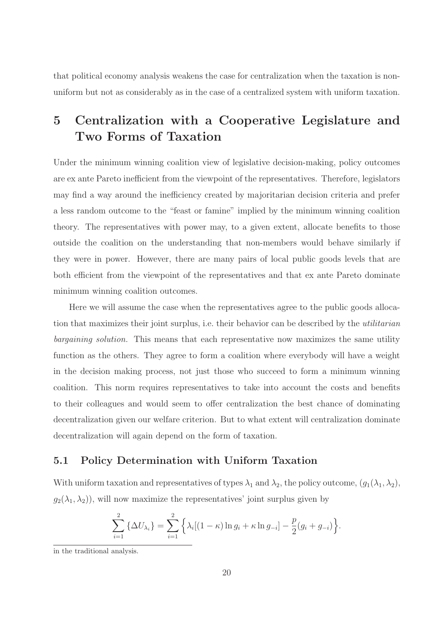that political economy analysis weakens the case for centralization when the taxation is nonuniform but not as considerably as in the case of a centralized system with uniform taxation.

## 5 Centralization with a Cooperative Legislature and Two Forms of Taxation

Under the minimum winning coalition view of legislative decision-making, policy outcomes are ex ante Pareto inefficient from the viewpoint of the representatives. Therefore, legislators may find a way around the inefficiency created by majoritarian decision criteria and prefer a less random outcome to the "feast or famine" implied by the minimum winning coalition theory. The representatives with power may, to a given extent, allocate benefits to those outside the coalition on the understanding that non-members would behave similarly if they were in power. However, there are many pairs of local public goods levels that are both efficient from the viewpoint of the representatives and that ex ante Pareto dominate minimum winning coalition outcomes.

Here we will assume the case when the representatives agree to the public goods allocation that maximizes their joint surplus, i.e. their behavior can be described by the utilitarian bargaining solution. This means that each representative now maximizes the same utility function as the others. They agree to form a coalition where everybody will have a weight in the decision making process, not just those who succeed to form a minimum winning coalition. This norm requires representatives to take into account the costs and benefits to their colleagues and would seem to offer centralization the best chance of dominating decentralization given our welfare criterion. But to what extent will centralization dominate decentralization will again depend on the form of taxation.

#### 5.1 Policy Determination with Uniform Taxation

With uniform taxation and representatives of types  $\lambda_1$  and  $\lambda_2$ , the policy outcome,  $(g_1(\lambda_1,\lambda_2),$  $g_2(\lambda_1, \lambda_2)$ , will now maximize the representatives' joint surplus given by

$$
\sum_{i=1}^{2} {\{\Delta U_{\lambda_i}\}} = \sum_{i=1}^{2} {\{\lambda_i[(1 - \kappa)\ln g_i + \kappa \ln g_{-i}]} - \frac{p}{2}(g_i + g_{-i})\}.
$$

in the traditional analysis.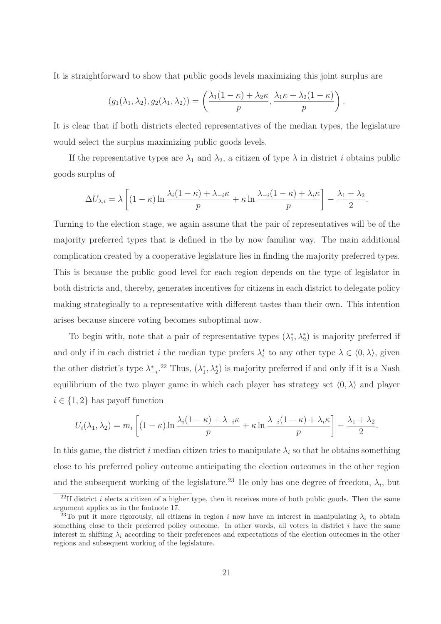It is straightforward to show that public goods levels maximizing this joint surplus are

$$
(g_1(\lambda_1, \lambda_2), g_2(\lambda_1, \lambda_2)) = \left(\frac{\lambda_1(1-\kappa) + \lambda_2 \kappa}{p}, \frac{\lambda_1 \kappa + \lambda_2(1-\kappa)}{p}\right).
$$

It is clear that if both districts elected representatives of the median types, the legislature would select the surplus maximizing public goods levels.

If the representative types are  $\lambda_1$  and  $\lambda_2$ , a citizen of type  $\lambda$  in district i obtains public goods surplus of

$$
\Delta U_{\lambda,i} = \lambda \left[ (1 - \kappa) \ln \frac{\lambda_i (1 - \kappa) + \lambda_{-i} \kappa}{p} + \kappa \ln \frac{\lambda_{-i} (1 - \kappa) + \lambda_i \kappa}{p} \right] - \frac{\lambda_1 + \lambda_2}{2}.
$$

Turning to the election stage, we again assume that the pair of representatives will be of the majority preferred types that is defined in the by now familiar way. The main additional complication created by a cooperative legislature lies in finding the majority preferred types. This is because the public good level for each region depends on the type of legislator in both districts and, thereby, generates incentives for citizens in each district to delegate policy making strategically to a representative with different tastes than their own. This intention arises because sincere voting becomes suboptimal now.

To begin with, note that a pair of representative types  $(\lambda_1^*)$ <sup>\*</sup><sub>1</sub>,  $\lambda_2^*$ ) is majority preferred if and only if in each district *i* the median type prefers  $\lambda_i^*$  $i$  to any other type  $\lambda \in \langle 0, \lambda \rangle$ , given the other district's type  $\lambda_{-i}^*$ .<sup>22</sup> Thus,  $(\lambda_1^*$  $\chi_1^*, \lambda_2^*$  is majority preferred if and only if it is a Nash equilibrium of the two player game in which each player has strategy set  $\langle 0, \overline{\lambda} \rangle$  and player  $i \in \{1,2\}$  has payoff function

$$
U_i(\lambda_1, \lambda_2) = m_i \left[ (1 - \kappa) \ln \frac{\lambda_i (1 - \kappa) + \lambda_{-i} \kappa}{p} + \kappa \ln \frac{\lambda_{-i} (1 - \kappa) + \lambda_i \kappa}{p} \right] - \frac{\lambda_1 + \lambda_2}{2}.
$$

In this game, the district i median citizen tries to manipulate  $\lambda_i$  so that he obtains something close to his preferred policy outcome anticipating the election outcomes in the other region and the subsequent working of the legislature.<sup>23</sup> He only has one degree of freedom,  $\lambda_i$ , but

<sup>&</sup>lt;sup>22</sup>If district *i* elects a citizen of a higher type, then it receives more of both public goods. Then the same argument applies as in the footnote 17.

<sup>&</sup>lt;sup>23</sup>To put it more rigorously, all citizens in region i now have an interest in manipulating  $\lambda_i$  to obtain something close to their preferred policy outcome. In other words, all voters in district  $i$  have the same interest in shifting  $\lambda_i$  according to their preferences and expectations of the election outcomes in the other regions and subsequent working of the legislature.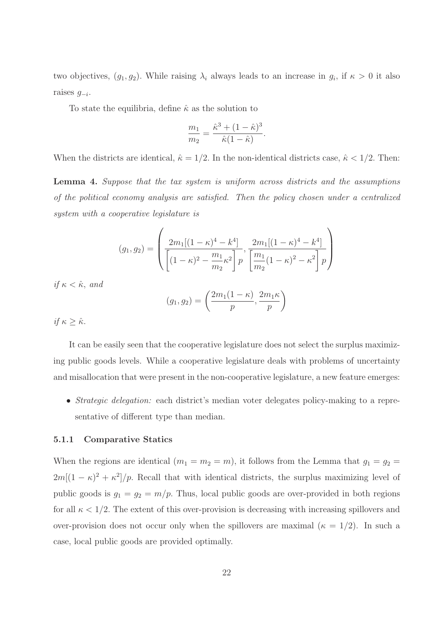two objectives,  $(g_1, g_2)$ . While raising  $\lambda_i$  always leads to an increase in  $g_i$ , if  $\kappa > 0$  it also raises  $g_{-i}$ .

To state the equilibria, define  $\hat{\kappa}$  as the solution to

$$
\frac{m_1}{m_2} = \frac{\hat{\kappa}^3 + (1 - \hat{\kappa})^3}{\hat{\kappa}(1 - \hat{\kappa})}
$$

.

When the districts are identical,  $\hat{\kappa} = 1/2$ . In the non-identical districts case,  $\hat{\kappa} < 1/2$ . Then:

Lemma 4. Suppose that the tax system is uniform across districts and the assumptions of the political economy analysis are satisfied. Then the policy chosen under a centralized system with a cooperative legislature is

$$
(g_1, g_2) = \left(\frac{2m_1[(1-\kappa)^4 - k^4]}{[(1-\kappa)^2 - \frac{m_1}{m_2}\kappa^2]p}, \frac{2m_1[(1-\kappa)^4 - k^4]}{m_2[(1-\kappa)^2 - \kappa^2]p}\right)
$$

if  $\kappa < \hat{\kappa}$ , and

$$
(g_1, g_2) = \left(\frac{2m_1(1-\kappa)}{p}, \frac{2m_1\kappa}{p}\right)
$$

if  $\kappa \geq \hat{\kappa}$ .

It can be easily seen that the cooperative legislature does not select the surplus maximizing public goods levels. While a cooperative legislature deals with problems of uncertainty and misallocation that were present in the non-cooperative legislature, a new feature emerges:

• Strategic delegation: each district's median voter delegates policy-making to a representative of different type than median.

#### 5.1.1 Comparative Statics

When the regions are identical  $(m_1 = m_2 = m)$ , it follows from the Lemma that  $g_1 = g_2$  $2m[(1 - \kappa)^2 + \kappa^2]/p$ . Recall that with identical districts, the surplus maximizing level of public goods is  $g_1 = g_2 = m/p$ . Thus, local public goods are over-provided in both regions for all  $\kappa < 1/2$ . The extent of this over-provision is decreasing with increasing spillovers and over-provision does not occur only when the spillovers are maximal ( $\kappa = 1/2$ ). In such a case, local public goods are provided optimally.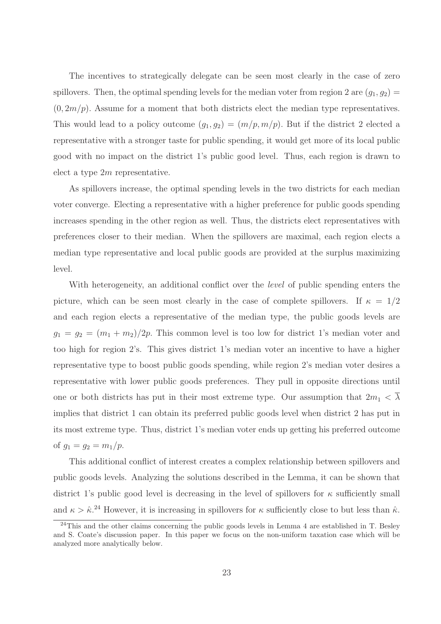The incentives to strategically delegate can be seen most clearly in the case of zero spillovers. Then, the optimal spending levels for the median voter from region 2 are  $(g_1, g_2)$  =  $(0, 2m/p)$ . Assume for a moment that both districts elect the median type representatives. This would lead to a policy outcome  $(g_1, g_2) = (m/p, m/p)$ . But if the district 2 elected a representative with a stronger taste for public spending, it would get more of its local public good with no impact on the district 1's public good level. Thus, each region is drawn to elect a type 2m representative.

As spillovers increase, the optimal spending levels in the two districts for each median voter converge. Electing a representative with a higher preference for public goods spending increases spending in the other region as well. Thus, the districts elect representatives with preferences closer to their median. When the spillovers are maximal, each region elects a median type representative and local public goods are provided at the surplus maximizing level.

With heterogeneity, an additional conflict over the *level* of public spending enters the picture, which can be seen most clearly in the case of complete spillovers. If  $\kappa = 1/2$ and each region elects a representative of the median type, the public goods levels are  $g_1 = g_2 = (m_1 + m_2)/2p$ . This common level is too low for district 1's median voter and too high for region 2's. This gives district 1's median voter an incentive to have a higher representative type to boost public goods spending, while region 2's median voter desires a representative with lower public goods preferences. They pull in opposite directions until one or both districts has put in their most extreme type. Our assumption that  $2m_1 < \overline{\lambda}$ implies that district 1 can obtain its preferred public goods level when district 2 has put in its most extreme type. Thus, district 1's median voter ends up getting his preferred outcome of  $g_1 = g_2 = m_1/p$ .

This additional conflict of interest creates a complex relationship between spillovers and public goods levels. Analyzing the solutions described in the Lemma, it can be shown that district 1's public good level is decreasing in the level of spillovers for  $\kappa$  sufficiently small and  $\kappa > \hat{\kappa}^{24}$  However, it is increasing in spillovers for  $\kappa$  sufficiently close to but less than  $\hat{\kappa}$ .

<sup>&</sup>lt;sup>24</sup>This and the other claims concerning the public goods levels in Lemma 4 are established in T. Besley and S. Coate's discussion paper. In this paper we focus on the non-uniform taxation case which will be analyzed more analytically below.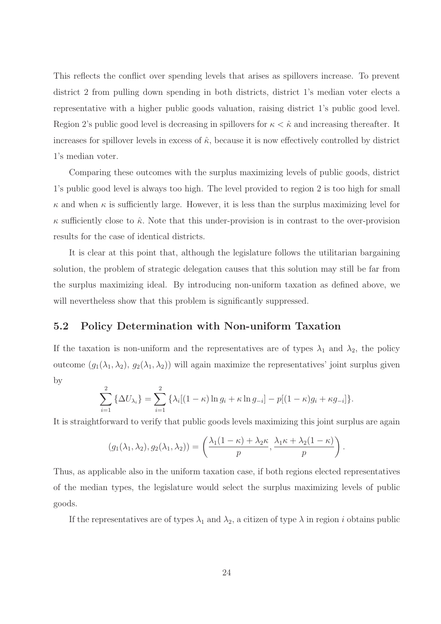This reflects the conflict over spending levels that arises as spillovers increase. To prevent district 2 from pulling down spending in both districts, district 1's median voter elects a representative with a higher public goods valuation, raising district 1's public good level. Region 2's public good level is decreasing in spillovers for  $\kappa < \hat{\kappa}$  and increasing thereafter. It increases for spillover levels in excess of  $\hat{\kappa}$ , because it is now effectively controlled by district 1's median voter.

Comparing these outcomes with the surplus maximizing levels of public goods, district 1's public good level is always too high. The level provided to region 2 is too high for small  $\kappa$  and when  $\kappa$  is sufficiently large. However, it is less than the surplus maximizing level for  $\kappa$  sufficiently close to  $\hat{\kappa}$ . Note that this under-provision is in contrast to the over-provision results for the case of identical districts.

It is clear at this point that, although the legislature follows the utilitarian bargaining solution, the problem of strategic delegation causes that this solution may still be far from the surplus maximizing ideal. By introducing non-uniform taxation as defined above, we will nevertheless show that this problem is significantly suppressed.

#### 5.2 Policy Determination with Non-uniform Taxation

If the taxation is non-uniform and the representatives are of types  $\lambda_1$  and  $\lambda_2$ , the policy outcome  $(g_1(\lambda_1, \lambda_2), g_2(\lambda_1, \lambda_2))$  will again maximize the representatives' joint surplus given by

$$
\sum_{i=1}^{2} {\{\Delta U_{\lambda_i}\}} = \sum_{i=1}^{2} {\{\lambda_i[(1-\kappa)\ln g_i + \kappa \ln g_{-i}]} - p[(1-\kappa)g_i + \kappa g_{-i}]\}.
$$

It is straightforward to verify that public goods levels maximizing this joint surplus are again

$$
(g_1(\lambda_1, \lambda_2), g_2(\lambda_1, \lambda_2)) = \left(\frac{\lambda_1(1-\kappa) + \lambda_2 \kappa}{p}, \frac{\lambda_1 \kappa + \lambda_2(1-\kappa)}{p}\right).
$$

Thus, as applicable also in the uniform taxation case, if both regions elected representatives of the median types, the legislature would select the surplus maximizing levels of public goods.

If the representatives are of types  $\lambda_1$  and  $\lambda_2$ , a citizen of type  $\lambda$  in region i obtains public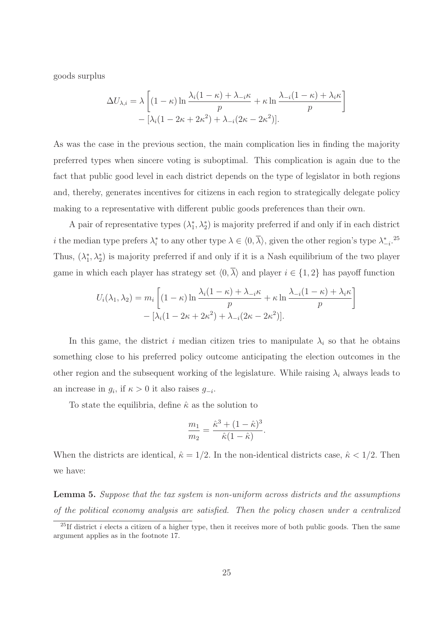goods surplus

$$
\Delta U_{\lambda,i} = \lambda \left[ (1 - \kappa) \ln \frac{\lambda_i (1 - \kappa) + \lambda_{-i} \kappa}{p} + \kappa \ln \frac{\lambda_{-i} (1 - \kappa) + \lambda_i \kappa}{p} \right] - [\lambda_i (1 - 2\kappa + 2\kappa^2) + \lambda_{-i} (2\kappa - 2\kappa^2)].
$$

As was the case in the previous section, the main complication lies in finding the majority preferred types when sincere voting is suboptimal. This complication is again due to the fact that public good level in each district depends on the type of legislator in both regions and, thereby, generates incentives for citizens in each region to strategically delegate policy making to a representative with different public goods preferences than their own.

A pair of representative types  $(\lambda_1^*)$ <sup>\*</sup><sub>1</sub>,  $\lambda_2^*$ ) is majority preferred if and only if in each district *i* the median type prefers  $\lambda_i^*$ \* to any other type  $\lambda \in \langle 0, \overline{\lambda} \rangle$ , given the other region's type  $\lambda_{-i}^*$ .<sup>25</sup> Thus,  $(\lambda_1^*)$ <sup>\*</sup><sub>1</sub>,  $\lambda_2^*$ ) is majority preferred if and only if it is a Nash equilibrium of the two player game in which each player has strategy set  $\langle 0, \overline{\lambda} \rangle$  and player  $i \in \{1, 2\}$  has payoff function

$$
U_i(\lambda_1, \lambda_2) = m_i \left[ (1 - \kappa) \ln \frac{\lambda_i (1 - \kappa) + \lambda_{-i} \kappa}{p} + \kappa \ln \frac{\lambda_{-i} (1 - \kappa) + \lambda_i \kappa}{p} \right]
$$

$$
- \left[ \lambda_i (1 - 2\kappa + 2\kappa^2) + \lambda_{-i} (2\kappa - 2\kappa^2) \right].
$$

In this game, the district i median citizen tries to manipulate  $\lambda_i$  so that he obtains something close to his preferred policy outcome anticipating the election outcomes in the other region and the subsequent working of the legislature. While raising  $\lambda_i$  always leads to an increase in  $g_i$ , if  $\kappa > 0$  it also raises  $g_{-i}$ .

To state the equilibria, define  $\hat{\kappa}$  as the solution to

$$
\frac{m_1}{m_2} = \frac{\hat{\kappa}^3 + (1 - \hat{\kappa})^3}{\hat{\kappa}(1 - \hat{\kappa})}.
$$

When the districts are identical,  $\hat{\kappa} = 1/2$ . In the non-identical districts case,  $\hat{\kappa} < 1/2$ . Then we have:

Lemma 5. Suppose that the tax system is non-uniform across districts and the assumptions of the political economy analysis are satisfied. Then the policy chosen under a centralized

<sup>&</sup>lt;sup>25</sup>If district i elects a citizen of a higher type, then it receives more of both public goods. Then the same argument applies as in the footnote 17.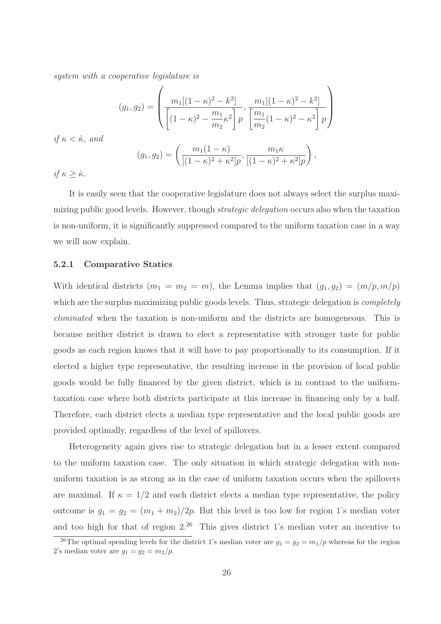system with a cooperative legislature is

$$
(g_1, g_2) = \left( \frac{m_1[(1 - \kappa)^2 - k^2]}{\left[ (1 - \kappa)^2 - \frac{m_1}{m_2} \kappa^2 \right] p}, \frac{m_1[(1 - \kappa)^2 - k^2]}{\left[ \frac{m_1}{m_2} (1 - \kappa)^2 - \kappa^2 \right] p} \right)
$$

$$
(g_1, g_2) = \left( \frac{m_1(1 - \kappa)}{\left[ (1 - \kappa)^2 + \kappa^2 \right] p}, \frac{m_1 \kappa}{\left[ (1 - \kappa)^2 + \kappa^2 \right] p} \right),
$$

if  $\kappa \geq \hat{\kappa}$ .

if  $\kappa < \hat{\kappa}$ , and

It is easily seen that the cooperative legislature does not always select the surplus maximizing public good levels. However, though *strategic delegation* occurs also when the taxation is non-uniform, it is significantly suppressed compared to the uniform taxation case in a way we will now explain.

#### 5.2.1 Comparative Statics

With identical districts  $(m_1 = m_2 = m)$ , the Lemma implies that  $(g_1, g_2) = (m/p, m/p)$ which are the surplus maximizing public goods levels. Thus, strategic delegation is *completely* eliminated when the taxation is non-uniform and the districts are homogeneous. This is because neither district is drawn to elect a representative with stronger taste for public goods as each region knows that it will have to pay proportionally to its consumption. If it elected a higher type representative, the resulting increase in the provision of local public goods would be fully financed by the given district, which is in contrast to the uniformtaxation case where both districts participate at this increase in financing only by a half. Therefore, each district elects a median type representative and the local public goods are provided optimally, regardless of the level of spillovers.

Heterogeneity again gives rise to strategic delegation but in a lesser extent compared to the uniform taxation case. The only situation in which strategic delegation with nonuniform taxation is as strong as in the case of uniform taxation occurs when the spillovers are maximal. If  $\kappa = 1/2$  and each district elects a median type representative, the policy outcome is  $g_1 = g_2 = (m_1 + m_2)/2p$ . But this level is too low for region 1's median voter and too high for that of region  $2^{26}$  This gives district 1's median voter an incentive to

<sup>&</sup>lt;sup>26</sup>The optimal spending levels for the district 1's median voter are  $g_1 = g_2 = m_1/p$  whereas for the region 2's median voter are  $g_1 = g_2 = m_2/p$ .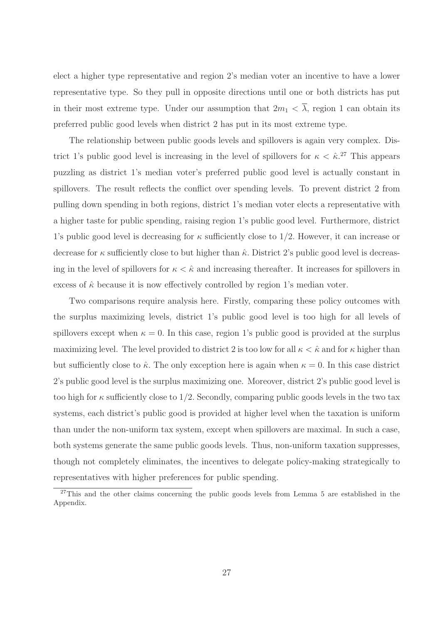elect a higher type representative and region 2's median voter an incentive to have a lower representative type. So they pull in opposite directions until one or both districts has put in their most extreme type. Under our assumption that  $2m_1 < \overline{\lambda}$ , region 1 can obtain its preferred public good levels when district 2 has put in its most extreme type.

The relationship between public goods levels and spillovers is again very complex. District 1's public good level is increasing in the level of spillovers for  $\kappa < \hat{\kappa}$ <sup>27</sup>. This appears puzzling as district 1's median voter's preferred public good level is actually constant in spillovers. The result reflects the conflict over spending levels. To prevent district 2 from pulling down spending in both regions, district 1's median voter elects a representative with a higher taste for public spending, raising region 1's public good level. Furthermore, district 1's public good level is decreasing for  $\kappa$  sufficiently close to 1/2. However, it can increase or decrease for  $\kappa$  sufficiently close to but higher than  $\hat{\kappa}$ . District 2's public good level is decreasing in the level of spillovers for  $\kappa < \hat{\kappa}$  and increasing thereafter. It increases for spillovers in excess of  $\hat{\kappa}$  because it is now effectively controlled by region 1's median voter.

Two comparisons require analysis here. Firstly, comparing these policy outcomes with the surplus maximizing levels, district 1's public good level is too high for all levels of spillovers except when  $\kappa = 0$ . In this case, region 1's public good is provided at the surplus maximizing level. The level provided to district 2 is too low for all  $\kappa < \hat{\kappa}$  and for  $\kappa$  higher than but sufficiently close to  $\hat{\kappa}$ . The only exception here is again when  $\kappa = 0$ . In this case district 2's public good level is the surplus maximizing one. Moreover, district 2's public good level is too high for  $\kappa$  sufficiently close to 1/2. Secondly, comparing public goods levels in the two tax systems, each district's public good is provided at higher level when the taxation is uniform than under the non-uniform tax system, except when spillovers are maximal. In such a case, both systems generate the same public goods levels. Thus, non-uniform taxation suppresses, though not completely eliminates, the incentives to delegate policy-making strategically to representatives with higher preferences for public spending.

 $27$ This and the other claims concerning the public goods levels from Lemma 5 are established in the Appendix.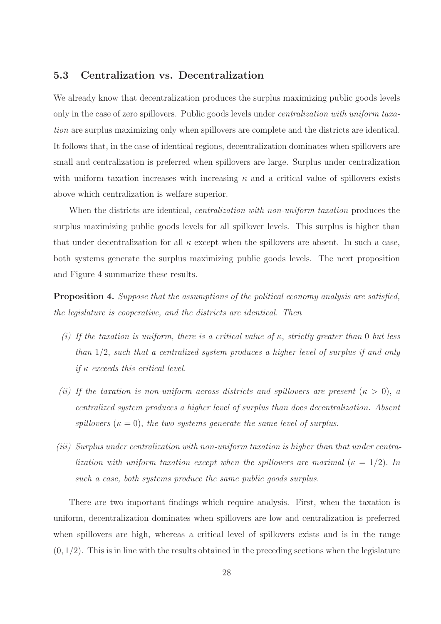#### 5.3 Centralization vs. Decentralization

We already know that decentralization produces the surplus maximizing public goods levels only in the case of zero spillovers. Public goods levels under centralization with uniform taxation are surplus maximizing only when spillovers are complete and the districts are identical. It follows that, in the case of identical regions, decentralization dominates when spillovers are small and centralization is preferred when spillovers are large. Surplus under centralization with uniform taxation increases with increasing  $\kappa$  and a critical value of spillovers exists above which centralization is welfare superior.

When the districts are identical, *centralization with non-uniform taxation* produces the surplus maximizing public goods levels for all spillover levels. This surplus is higher than that under decentralization for all  $\kappa$  except when the spillovers are absent. In such a case, both systems generate the surplus maximizing public goods levels. The next proposition and Figure 4 summarize these results.

Proposition 4. Suppose that the assumptions of the political economy analysis are satisfied, the legislature is cooperative, and the districts are identical. Then

- (i) If the taxation is uniform, there is a critical value of  $\kappa$ , strictly greater than 0 but less than 1/2, such that a centralized system produces a higher level of surplus if and only if  $\kappa$  exceeds this critical level.
- (ii) If the taxation is non-uniform across districts and spillovers are present  $(\kappa > 0)$ , a centralized system produces a higher level of surplus than does decentralization. Absent spillovers  $(\kappa = 0)$ , the two systems generate the same level of surplus.
- (iii) Surplus under centralization with non-uniform taxation is higher than that under centralization with uniform taxation except when the spillovers are maximal  $(\kappa = 1/2)$ . In such a case, both systems produce the same public goods surplus.

There are two important findings which require analysis. First, when the taxation is uniform, decentralization dominates when spillovers are low and centralization is preferred when spillovers are high, whereas a critical level of spillovers exists and is in the range  $(0, 1/2)$ . This is in line with the results obtained in the preceding sections when the legislature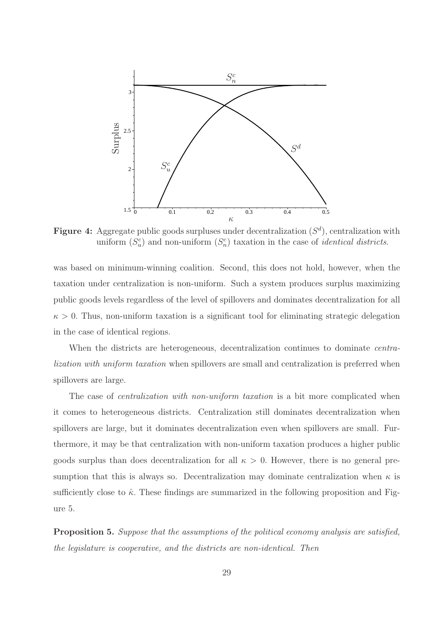

**Figure 4:** Aggregate public goods surpluses under decentralization  $(S^d)$ , centralization with uniform  $(S_u^c)$  and non-uniform  $(S_n^c)$  taxation in the case of *identical districts*.

was based on minimum-winning coalition. Second, this does not hold, however, when the taxation under centralization is non-uniform. Such a system produces surplus maximizing public goods levels regardless of the level of spillovers and dominates decentralization for all  $\kappa > 0$ . Thus, non-uniform taxation is a significant tool for eliminating strategic delegation in the case of identical regions.

When the districts are heterogeneous, decentralization continues to dominate *centra*lization with uniform taxation when spillovers are small and centralization is preferred when spillovers are large.

The case of *centralization with non-uniform taxation* is a bit more complicated when it comes to heterogeneous districts. Centralization still dominates decentralization when spillovers are large, but it dominates decentralization even when spillovers are small. Furthermore, it may be that centralization with non-uniform taxation produces a higher public goods surplus than does decentralization for all  $\kappa > 0$ . However, there is no general presumption that this is always so. Decentralization may dominate centralization when  $\kappa$  is sufficiently close to  $\hat{\kappa}$ . These findings are summarized in the following proposition and Figure 5.

Proposition 5. Suppose that the assumptions of the political economy analysis are satisfied, the legislature is cooperative, and the districts are non-identical. Then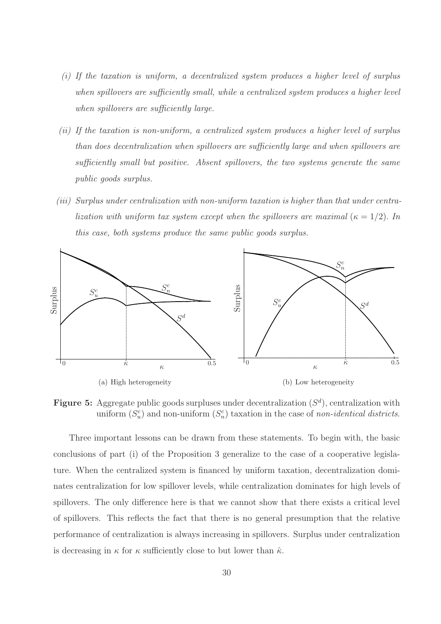- (i) If the taxation is uniform, a decentralized system produces a higher level of surplus when spillovers are sufficiently small, while a centralized system produces a higher level when spillovers are sufficiently large.
- (ii) If the taxation is non-uniform, a centralized system produces a higher level of surplus than does decentralization when spillovers are sufficiently large and when spillovers are sufficiently small but positive. Absent spillovers, the two systems generate the same public goods surplus.
- (iii) Surplus under centralization with non-uniform taxation is higher than that under centralization with uniform tax system except when the spillovers are maximal ( $\kappa = 1/2$ ). In this case, both systems produce the same public goods surplus.



**Figure 5:** Aggregate public goods surpluses under decentralization  $(S<sup>d</sup>)$ , centralization with uniform  $(S_u^c)$  and non-uniform  $(S_n^c)$  taxation in the case of non-identical districts.

Three important lessons can be drawn from these statements. To begin with, the basic conclusions of part (i) of the Proposition 3 generalize to the case of a cooperative legislature. When the centralized system is financed by uniform taxation, decentralization dominates centralization for low spillover levels, while centralization dominates for high levels of spillovers. The only difference here is that we cannot show that there exists a critical level of spillovers. This reflects the fact that there is no general presumption that the relative performance of centralization is always increasing in spillovers. Surplus under centralization is decreasing in  $\kappa$  for  $\kappa$  sufficiently close to but lower than  $\hat{\kappa}$ .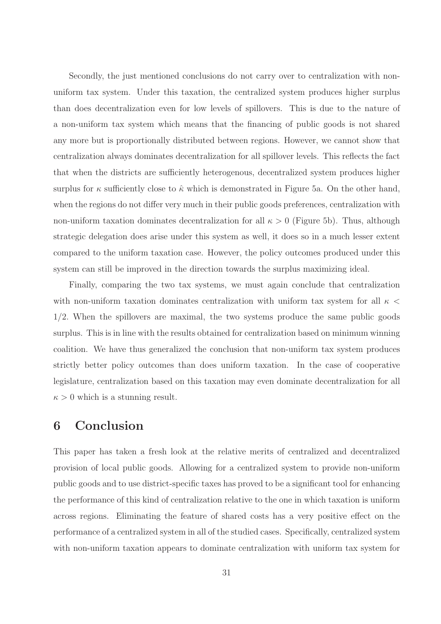Secondly, the just mentioned conclusions do not carry over to centralization with nonuniform tax system. Under this taxation, the centralized system produces higher surplus than does decentralization even for low levels of spillovers. This is due to the nature of a non-uniform tax system which means that the financing of public goods is not shared any more but is proportionally distributed between regions. However, we cannot show that centralization always dominates decentralization for all spillover levels. This reflects the fact that when the districts are sufficiently heterogenous, decentralized system produces higher surplus for  $\kappa$  sufficiently close to  $\hat{\kappa}$  which is demonstrated in Figure 5a. On the other hand, when the regions do not differ very much in their public goods preferences, centralization with non-uniform taxation dominates decentralization for all  $\kappa > 0$  (Figure 5b). Thus, although strategic delegation does arise under this system as well, it does so in a much lesser extent compared to the uniform taxation case. However, the policy outcomes produced under this system can still be improved in the direction towards the surplus maximizing ideal.

Finally, comparing the two tax systems, we must again conclude that centralization with non-uniform taxation dominates centralization with uniform tax system for all  $\kappa$  < 1/2. When the spillovers are maximal, the two systems produce the same public goods surplus. This is in line with the results obtained for centralization based on minimum winning coalition. We have thus generalized the conclusion that non-uniform tax system produces strictly better policy outcomes than does uniform taxation. In the case of cooperative legislature, centralization based on this taxation may even dominate decentralization for all  $\kappa > 0$  which is a stunning result.

### 6 Conclusion

This paper has taken a fresh look at the relative merits of centralized and decentralized provision of local public goods. Allowing for a centralized system to provide non-uniform public goods and to use district-specific taxes has proved to be a significant tool for enhancing the performance of this kind of centralization relative to the one in which taxation is uniform across regions. Eliminating the feature of shared costs has a very positive effect on the performance of a centralized system in all of the studied cases. Specifically, centralized system with non-uniform taxation appears to dominate centralization with uniform tax system for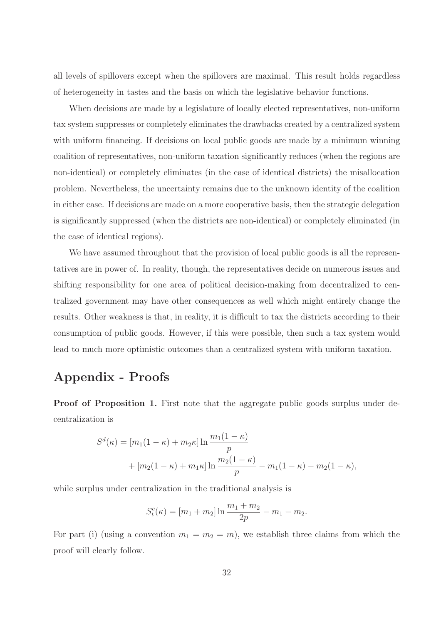all levels of spillovers except when the spillovers are maximal. This result holds regardless of heterogeneity in tastes and the basis on which the legislative behavior functions.

When decisions are made by a legislature of locally elected representatives, non-uniform tax system suppresses or completely eliminates the drawbacks created by a centralized system with uniform financing. If decisions on local public goods are made by a minimum winning coalition of representatives, non-uniform taxation significantly reduces (when the regions are non-identical) or completely eliminates (in the case of identical districts) the misallocation problem. Nevertheless, the uncertainty remains due to the unknown identity of the coalition in either case. If decisions are made on a more cooperative basis, then the strategic delegation is significantly suppressed (when the districts are non-identical) or completely eliminated (in the case of identical regions).

We have assumed throughout that the provision of local public goods is all the representatives are in power of. In reality, though, the representatives decide on numerous issues and shifting responsibility for one area of political decision-making from decentralized to centralized government may have other consequences as well which might entirely change the results. Other weakness is that, in reality, it is difficult to tax the districts according to their consumption of public goods. However, if this were possible, then such a tax system would lead to much more optimistic outcomes than a centralized system with uniform taxation.

### Appendix - Proofs

Proof of Proposition 1. First note that the aggregate public goods surplus under decentralization is

$$
S^{d}(\kappa) = [m_1(1 - \kappa) + m_2 \kappa] \ln \frac{m_1(1 - \kappa)}{p} + [m_2(1 - \kappa) + m_1 \kappa] \ln \frac{m_2(1 - \kappa)}{p} - m_1(1 - \kappa) - m_2(1 - \kappa),
$$

while surplus under centralization in the traditional analysis is

$$
S_t^c(\kappa) = [m_1 + m_2] \ln \frac{m_1 + m_2}{2p} - m_1 - m_2.
$$

For part (i) (using a convention  $m_1 = m_2 = m$ ), we establish three claims from which the proof will clearly follow.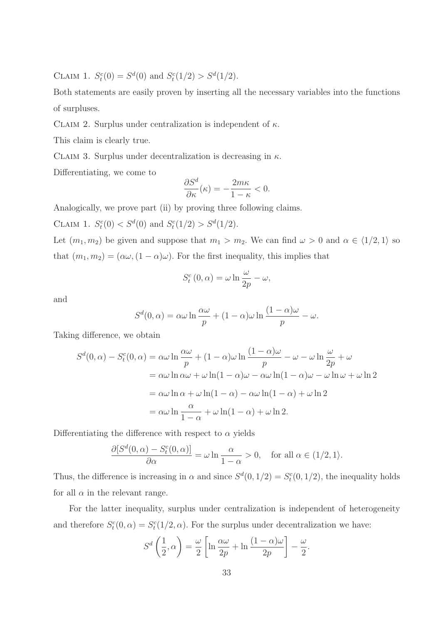CLAIM 1.  $S_t^c(0) = S^d(0)$  and  $S_t^c(1/2) > S^d(1/2)$ .

Both statements are easily proven by inserting all the necessary variables into the functions of surpluses.

CLAIM 2. Surplus under centralization is independent of  $\kappa$ .

This claim is clearly true.

CLAIM 3. Surplus under decentralization is decreasing in  $\kappa$ .

Differentiating, we come to

$$
\frac{\partial S^d}{\partial \kappa}(\kappa) = -\frac{2m\kappa}{1-\kappa} < 0.
$$

Analogically, we prove part (ii) by proving three following claims.

CLAIM 1.  $S_t^c(0) < S^d(0)$  and  $S_t^c(1/2) > S^d(1/2)$ .

Let  $(m_1, m_2)$  be given and suppose that  $m_1 > m_2$ . We can find  $\omega > 0$  and  $\alpha \in \langle 1/2, 1 \rangle$  so that  $(m_1, m_2) = (\alpha \omega, (1 - \alpha)\omega)$ . For the first inequality, this implies that

$$
S_t^c(0, \alpha) = \omega \ln \frac{\omega}{2p} - \omega,
$$

and

$$
S^{d}(0, \alpha) = \alpha \omega \ln \frac{\alpha \omega}{p} + (1 - \alpha) \omega \ln \frac{(1 - \alpha) \omega}{p} - \omega.
$$

Taking difference, we obtain

$$
S^{d}(0, \alpha) - S_{t}^{c}(0, \alpha) = \alpha \omega \ln \frac{\alpha \omega}{p} + (1 - \alpha) \omega \ln \frac{(1 - \alpha) \omega}{p} - \omega - \omega \ln \frac{\omega}{2p} + \omega
$$
  
=  $\alpha \omega \ln \alpha \omega + \omega \ln(1 - \alpha) \omega - \alpha \omega \ln(1 - \alpha) \omega - \omega \ln \omega + \omega \ln 2$   
=  $\alpha \omega \ln \alpha + \omega \ln(1 - \alpha) - \alpha \omega \ln(1 - \alpha) + \omega \ln 2$   
=  $\alpha \omega \ln \frac{\alpha}{1 - \alpha} + \omega \ln(1 - \alpha) + \omega \ln 2$ .

Differentiating the difference with respect to  $\alpha$  yields

$$
\frac{\partial [S^d(0,\alpha) - S^c_t(0,\alpha)]}{\partial \alpha} = \omega \ln \frac{\alpha}{1-\alpha} > 0, \text{ for all } \alpha \in (1/2, 1).
$$

Thus, the difference is increasing in  $\alpha$  and since  $S^d(0, 1/2) = S_t^c(0, 1/2)$ , the inequality holds for all  $\alpha$  in the relevant range.

For the latter inequality, surplus under centralization is independent of heterogeneity and therefore  $S_t^c(0, \alpha) = S_t^c(1/2, \alpha)$ . For the surplus under decentralization we have:

$$
S^{d}\left(\frac{1}{2},\alpha\right) = \frac{\omega}{2}\left[\ln\frac{\alpha\omega}{2p} + \ln\frac{(1-\alpha)\omega}{2p}\right] - \frac{\omega}{2}
$$

.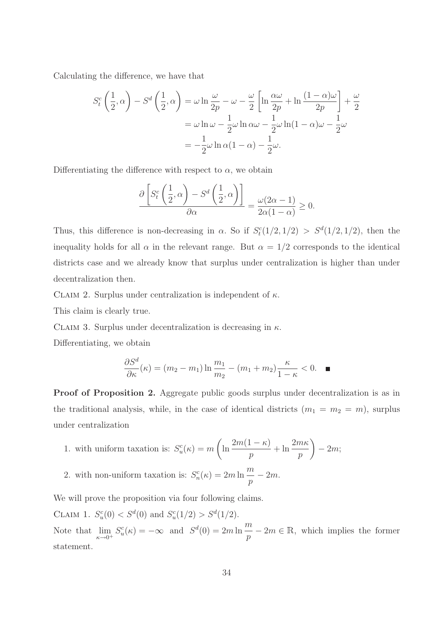Calculating the difference, we have that

$$
S_t^c \left(\frac{1}{2}, \alpha\right) - S^d \left(\frac{1}{2}, \alpha\right) = \omega \ln \frac{\omega}{2p} - \omega - \frac{\omega}{2} \left[ \ln \frac{\alpha \omega}{2p} + \ln \frac{(1 - \alpha)\omega}{2p} \right] + \frac{\omega}{2}
$$

$$
= \omega \ln \omega - \frac{1}{2}\omega \ln \alpha \omega - \frac{1}{2}\omega \ln(1 - \alpha)\omega - \frac{1}{2}\omega
$$

$$
= -\frac{1}{2}\omega \ln \alpha (1 - \alpha) - \frac{1}{2}\omega.
$$

Differentiating the difference with respect to  $\alpha$ , we obtain

$$
\frac{\partial \left[ S_t^c \left( \frac{1}{2}, \alpha \right) - S^d \left( \frac{1}{2}, \alpha \right) \right]}{\partial \alpha} = \frac{\omega(2\alpha - 1)}{2\alpha(1 - \alpha)} \ge 0.
$$

Thus, this difference is non-decreasing in  $\alpha$ . So if  $S_t^c(1/2, 1/2) > S^d(1/2, 1/2)$ , then the inequality holds for all  $\alpha$  in the relevant range. But  $\alpha = 1/2$  corresponds to the identical districts case and we already know that surplus under centralization is higher than under decentralization then.

CLAIM 2. Surplus under centralization is independent of  $\kappa$ .

This claim is clearly true.

CLAIM 3. Surplus under decentralization is decreasing in  $\kappa$ .

Differentiating, we obtain

$$
\frac{\partial S^d}{\partial \kappa}(\kappa) = (m_2 - m_1) \ln \frac{m_1}{m_2} - (m_1 + m_2) \frac{\kappa}{1 - \kappa} < 0. \quad \blacksquare
$$

Proof of Proposition 2. Aggregate public goods surplus under decentralization is as in the traditional analysis, while, in the case of identical districts  $(m_1 = m_2 = m)$ , surplus under centralization

1. with uniform taxation is: 
$$
S_u^c(\kappa) = m \left( \ln \frac{2m(1-\kappa)}{p} + \ln \frac{2m\kappa}{p} \right) - 2m;
$$

2. with non-uniform taxation is:  $S_n^c(\kappa) = 2m \ln \frac{m}{n}$  $\frac{n}{p}-2m.$ 

We will prove the proposition via four following claims.

CLAIM 1.  $S_u^c(0) < S_d(0)$  and  $S_u^c(1/2) > S_d(1/2)$ . Note that  $\lim_{\kappa \to 0^+} S_u^c(\kappa) = -\infty$  and  $S^d(0) = 2m \ln \frac{m}{p}$  $\frac{n}{p} - 2m \in \mathbb{R}$ , which implies the former statement.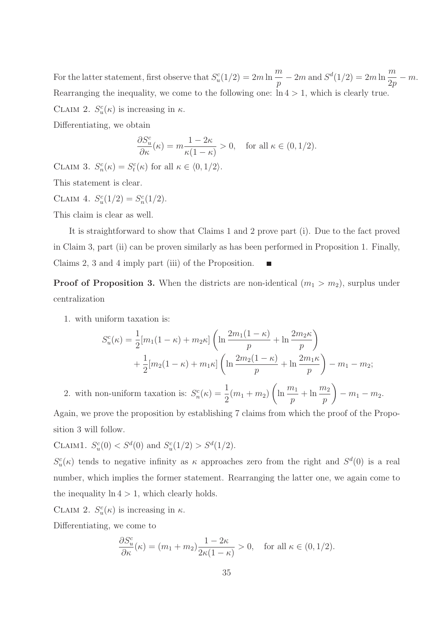For the latter statement, first observe that  $S_u^c(1/2) = 2m \ln \frac{m}{n}$  $\frac{m}{p}$  – 2m and  $S^d(1/2) = 2m \ln \frac{m}{2p}$  $rac{m}{2p} - m.$ Rearranging the inequality, we come to the following one:  $\ln 4 > 1$ , which is clearly true. CLAIM 2.  $S_u^c(\kappa)$  is increasing in  $\kappa$ .

Differentiating, we obtain

$$
\frac{\partial S_u^c}{\partial \kappa}(\kappa) = m \frac{1 - 2\kappa}{\kappa (1 - \kappa)} > 0, \quad \text{for all } \kappa \in (0, 1/2).
$$

CLAIM 3.  $S_n^c(\kappa) = S_t^c(\kappa)$  for all  $\kappa \in \langle 0, 1/2 \rangle$ .

This statement is clear.

CLAIM 4.  $S_u^c(1/2) = S_n^c(1/2)$ .

This claim is clear as well.

It is straightforward to show that Claims 1 and 2 prove part (i). Due to the fact proved in Claim 3, part (ii) can be proven similarly as has been performed in Proposition 1. Finally, Claims 2, 3 and 4 imply part (iii) of the Proposition.

**Proof of Proposition 3.** When the districts are non-identical  $(m_1 > m_2)$ , surplus under centralization

1. with uniform taxation is:

$$
S_u^c(\kappa) = \frac{1}{2} [m_1(1 - \kappa) + m_2 \kappa] \left( \ln \frac{2m_1(1 - \kappa)}{p} + \ln \frac{2m_2 \kappa}{p} \right) + \frac{1}{2} [m_2(1 - \kappa) + m_1 \kappa] \left( \ln \frac{2m_2(1 - \kappa)}{p} + \ln \frac{2m_1 \kappa}{p} \right) - m_1 - m_2;
$$

2. with non-uniform taxation is:  $S_n^c(\kappa) = \frac{1}{2}$  $\frac{1}{2}(m_1 + m_2)$  $\left(\ln \frac{m_1}{m_1}\right)$ p  $+\ln\frac{m_2}{m}$ p  $\setminus$  $- m_1 - m_2.$ 

Again, we prove the proposition by establishing 7 claims from which the proof of the Proposition 3 will follow.

CLAIM1.  $S_u^c(0) < S^d(0)$  and  $S_u^c(1/2) > S^d(1/2)$ .

 $S_u^c(\kappa)$  tends to negative infinity as  $\kappa$  approaches zero from the right and  $S^d(0)$  is a real number, which implies the former statement. Rearranging the latter one, we again come to the inequality  $\ln 4 > 1$ , which clearly holds.

CLAIM 2.  $S_u^c(\kappa)$  is increasing in  $\kappa$ .

Differentiating, we come to

$$
\frac{\partial S_u^c}{\partial \kappa}(\kappa) = (m_1 + m_2) \frac{1 - 2\kappa}{2\kappa (1 - \kappa)} > 0, \quad \text{for all } \kappa \in (0, 1/2).
$$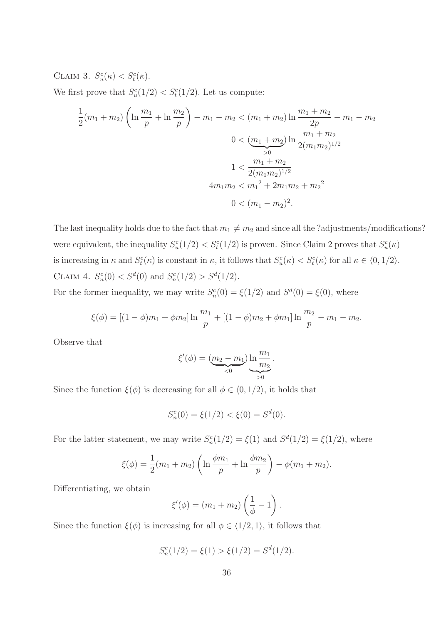CLAIM 3.  $S_u^c(\kappa) < S_t^c(\kappa)$ .

We first prove that  $S_u^c(1/2) < S_t^c(1/2)$ . Let us compute:

$$
\frac{1}{2}(m_1 + m_2) \left( \ln \frac{m_1}{p} + \ln \frac{m_2}{p} \right) - m_1 - m_2 < (m_1 + m_2) \ln \frac{m_1 + m_2}{2p} - m_1 - m_2
$$
\n
$$
0 < \underbrace{(m_1 + m_2)}_{>0} \ln \frac{m_1 + m_2}{2(m_1 m_2)^{1/2}}
$$
\n
$$
1 < \frac{m_1 + m_2}{2(m_1 m_2)^{1/2}}
$$
\n
$$
4m_1 m_2 < m_1^2 + 2m_1 m_2 + m_2^2
$$
\n
$$
0 < (m_1 - m_2)^2.
$$

The last inequality holds due to the fact that  $m_1 \neq m_2$  and since all the ?adjustments/modifications? were equivalent, the inequality  $S_u^c(1/2) < S_t^c(1/2)$  is proven. Since Claim 2 proves that  $S_u^c(\kappa)$ is increasing in  $\kappa$  and  $S_t^c(\kappa)$  is constant in  $\kappa$ , it follows that  $S_u^c(\kappa) < S_t^c(\kappa)$  for all  $\kappa \in \langle 0, 1/2 \rangle$ . CLAIM 4.  $S_n^c(0) < S^d(0)$  and  $S_n^c(1/2) > S^d(1/2)$ .

For the former inequality, we may write  $S_n^c(0) = \xi(1/2)$  and  $S^d(0) = \xi(0)$ , where

$$
\xi(\phi) = \left[ (1 - \phi)m_1 + \phi m_2 \right] \ln \frac{m_1}{p} + \left[ (1 - \phi)m_2 + \phi m_1 \right] \ln \frac{m_2}{p} - m_1 - m_2.
$$

Observe that

$$
\xi'(\phi) = (\underbrace{m_2 - m_1}_{< 0}) \ln \underbrace{m_1}_{> 0}.
$$

Since the function  $\xi(\phi)$  is decreasing for all  $\phi \in \langle 0, 1/2 \rangle$ , it holds that

$$
S_n^c(0) = \xi(1/2) < \xi(0) = S^d(0).
$$

For the latter statement, we may write  $S_n^c(1/2) = \xi(1)$  and  $S^d(1/2) = \xi(1/2)$ , where

$$
\xi(\phi) = \frac{1}{2}(m_1 + m_2) \left( \ln \frac{\phi m_1}{p} + \ln \frac{\phi m_2}{p} \right) - \phi(m_1 + m_2).
$$

Differentiating, we obtain

$$
\xi'(\phi) = (m_1 + m_2) \left( \frac{1}{\phi} - 1 \right).
$$

Since the function  $\xi(\phi)$  is increasing for all  $\phi \in \langle 1/2, 1 \rangle$ , it follows that

$$
S_n^c(1/2) = \xi(1) > \xi(1/2) = S^d(1/2).
$$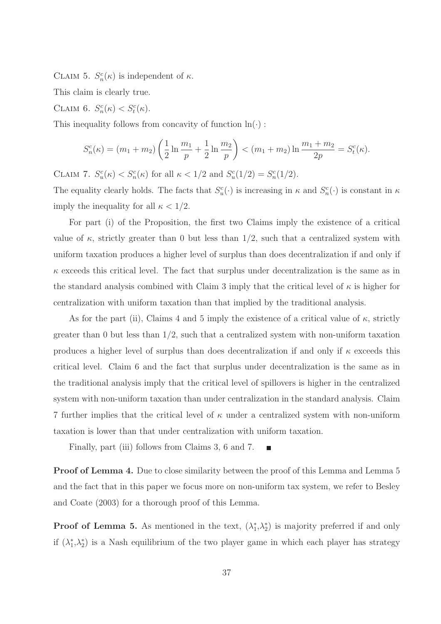CLAIM 5.  $S_n^c(\kappa)$  is independent of  $\kappa$ .

This claim is clearly true.

CLAIM 6.  $S_n^c(\kappa) < S_t^c(\kappa)$ .

This inequality follows from concavity of function  $\ln(\cdot)$ :

$$
S_n^c(\kappa) = (m_1 + m_2) \left( \frac{1}{2} \ln \frac{m_1}{p} + \frac{1}{2} \ln \frac{m_2}{p} \right) < (m_1 + m_2) \ln \frac{m_1 + m_2}{2p} = S_t^c(\kappa).
$$

CLAIM 7.  $S_u^c(\kappa) < S_n^c(\kappa)$  for all  $\kappa < 1/2$  and  $S_u^c(1/2) = S_n^c(1/2)$ .

The equality clearly holds. The facts that  $S_u^c(\cdot)$  is increasing in  $\kappa$  and  $S_n^c(\cdot)$  is constant in  $\kappa$ imply the inequality for all  $\kappa < 1/2$ .

For part (i) of the Proposition, the first two Claims imply the existence of a critical value of  $\kappa$ , strictly greater than 0 but less than 1/2, such that a centralized system with uniform taxation produces a higher level of surplus than does decentralization if and only if  $\kappa$  exceeds this critical level. The fact that surplus under decentralization is the same as in the standard analysis combined with Claim 3 imply that the critical level of  $\kappa$  is higher for centralization with uniform taxation than that implied by the traditional analysis.

As for the part (ii), Claims 4 and 5 imply the existence of a critical value of  $\kappa$ , strictly greater than 0 but less than  $1/2$ , such that a centralized system with non-uniform taxation produces a higher level of surplus than does decentralization if and only if  $\kappa$  exceeds this critical level. Claim 6 and the fact that surplus under decentralization is the same as in the traditional analysis imply that the critical level of spillovers is higher in the centralized system with non-uniform taxation than under centralization in the standard analysis. Claim 7 further implies that the critical level of  $\kappa$  under a centralized system with non-uniform taxation is lower than that under centralization with uniform taxation.

Finally, part (iii) follows from Claims 3, 6 and 7.

Proof of Lemma 4. Due to close similarity between the proof of this Lemma and Lemma 5 and the fact that in this paper we focus more on non-uniform tax system, we refer to Besley and Coate (2003) for a thorough proof of this Lemma.

**Proof of Lemma 5.** As mentioned in the text,  $(\lambda_1^*)$  $_{1}^{*},\lambda_{2}^{*}$ 2 ) is majority preferred if and only if  $(\lambda_1^*)$  $_{1}^{*},\lambda_{2}^{*}$ 2 ) is a Nash equilibrium of the two player game in which each player has strategy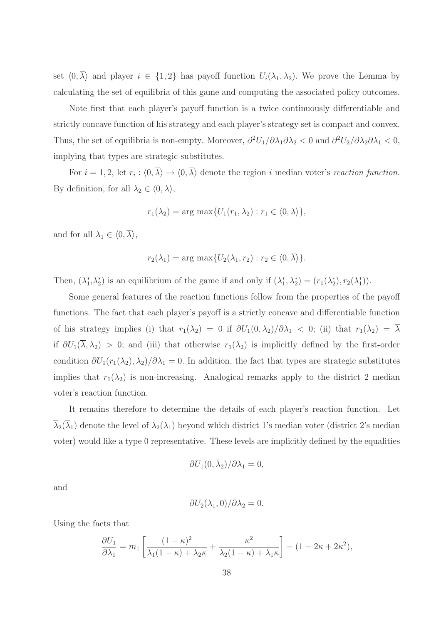set  $\langle 0, \overline{\lambda} \rangle$  and player  $i \in \{1,2\}$  has payoff function  $U_i(\lambda_1, \lambda_2)$ . We prove the Lemma by calculating the set of equilibria of this game and computing the associated policy outcomes.

Note first that each player's payoff function is a twice continuously differentiable and strictly concave function of his strategy and each player's strategy set is compact and convex. Thus, the set of equilibria is non-empty. Moreover,  $\frac{\partial^2 U_1}{\partial \lambda_1 \partial \lambda_2}$  < 0 and  $\frac{\partial^2 U_2}{\partial \lambda_2 \partial \lambda_1}$  < 0, implying that types are strategic substitutes.

For  $i = 1, 2$ , let  $r_i : (0, \lambda) \to (0, \lambda)$  denote the region i median voter's reaction function. By definition, for all  $\lambda_2 \in \langle 0, \overline{\lambda} \rangle$ ,

$$
r_1(\lambda_2) = \arg \max \{ U_1(r_1, \lambda_2) : r_1 \in \langle 0, \overline{\lambda} \rangle \},
$$

and for all  $\lambda_1 \in \langle 0, \overline{\lambda} \rangle$ ,

$$
r_2(\lambda_1) = \arg \max \{ U_2(\lambda_1, r_2) : r_2 \in \langle 0, \overline{\lambda} \rangle \}.
$$

Then,  $(\lambda_1^*)$  $_{1}^{*},\lambda_{2}^{*}$  $\binom{1}{2}$  is an equilibrium of the game if and only if  $(\lambda_1^*$  $(r_1(\lambda_2^*)=(r_1(\lambda_2^*))$ <sup>\*</sup><sub>2</sub> $,r_2(\lambda_1^*)$  $i)$ ).

Some general features of the reaction functions follow from the properties of the payoff functions. The fact that each player's payoff is a strictly concave and differentiable function of his strategy implies (i) that  $r_1(\lambda_2) = 0$  if  $\partial U_1(0,\lambda_2)/\partial \lambda_1 < 0$ ; (ii) that  $r_1(\lambda_2) = \overline{\lambda}$ if  $\partial U_1(\overline{\lambda},\lambda_2) > 0$ ; and (iii) that otherwise  $r_1(\lambda_2)$  is implicitly defined by the first-order condition  $\partial U_1(r_1(\lambda_2),\lambda_2)/\partial \lambda_1 = 0$ . In addition, the fact that types are strategic substitutes implies that  $r_1(\lambda_2)$  is non-increasing. Analogical remarks apply to the district 2 median voter's reaction function.

It remains therefore to determine the details of each player's reaction function. Let  $\overline{\lambda}_2(\overline{\lambda}_1)$  denote the level of  $\lambda_2(\lambda_1)$  beyond which district 1's median voter (district 2's median voter) would like a type 0 representative. These levels are implicitly defined by the equalities

$$
\partial U_1(0, \overline{\lambda}_2)/\partial \lambda_1 = 0,
$$

and

$$
\partial U_2(\overline{\lambda}_1,0)/\partial \lambda_2=0.
$$

Using the facts that

$$
\frac{\partial U_1}{\partial \lambda_1} = m_1 \left[ \frac{(1 - \kappa)^2}{\lambda_1 (1 - \kappa) + \lambda_2 \kappa} + \frac{\kappa^2}{\lambda_2 (1 - \kappa) + \lambda_1 \kappa} \right] - (1 - 2\kappa + 2\kappa^2),
$$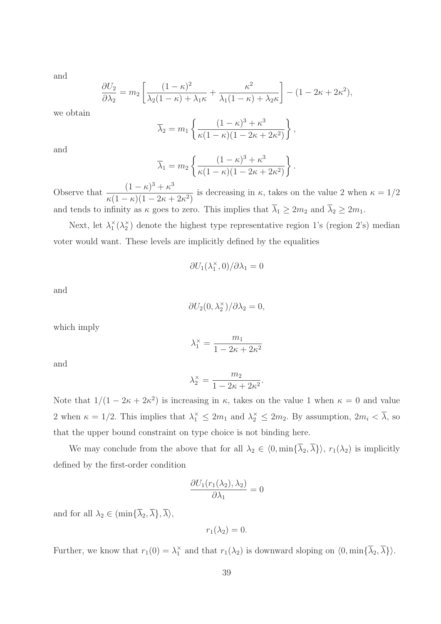and

$$
\frac{\partial U_2}{\partial \lambda_2} = m_2 \left[ \frac{(1 - \kappa)^2}{\lambda_2 (1 - \kappa) + \lambda_1 \kappa} + \frac{\kappa^2}{\lambda_1 (1 - \kappa) + \lambda_2 \kappa} \right] - (1 - 2\kappa + 2\kappa^2),
$$

we obtain

$$
\overline{\lambda}_2 = m_1 \left\{ \frac{(1 - \kappa)^3 + \kappa^3}{\kappa (1 - \kappa)(1 - 2\kappa + 2\kappa^2)} \right\},\,
$$

and

$$
\overline{\lambda}_1 = m_2 \left\{ \frac{(1 - \kappa)^3 + \kappa^3}{\kappa (1 - \kappa)(1 - 2\kappa + 2\kappa^2)} \right\}.
$$

Observe that  $\frac{(1 - \kappa)^3 + \kappa^3}{(1 - \kappa)^3}$  $\kappa(1-\kappa)(1-2\kappa+2\kappa^2)$ is decreasing in  $\kappa$ , takes on the value 2 when  $\kappa = 1/2$ and tends to infinity as  $\kappa$  goes to zero. This implies that  $\overline{\lambda}_1 \geq 2m_2$  and  $\overline{\lambda}_2 \geq 2m_1$ .

Next, let  $\lambda_1^{\times}$  $_{1}^{\times}(\lambda_{2}^{\times}% )=\frac{1}{2}(\lambda_{1}^{\times}-\lambda_{2}^{\times})$ 2 ) denote the highest type representative region 1's (region 2's) median voter would want. These levels are implicitly defined by the equalities

> $\partial U_1(\lambda_1^{\times})$  $_{1}^{\times},0)/\partial\lambda_{1}=0$

and

$$
\partial U_2(0, \lambda_2^{\times})/\partial \lambda_2 = 0,
$$

which imply

$$
\lambda_1^{\times} = \frac{m_1}{1 - 2\kappa + 2\kappa^2}
$$

and

$$
\lambda_2^{\times} = \frac{m_2}{1 - 2\kappa + 2\kappa^2}.
$$

Note that  $1/(1 - 2\kappa + 2\kappa^2)$  is increasing in  $\kappa$ , takes on the value 1 when  $\kappa = 0$  and value 2 when  $\kappa = 1/2$ . This implies that  $\lambda_1^{\times} \leq 2m_1$  and  $\lambda_2^{\times} \leq 2m_2$ . By assumption,  $2m_i < \overline{\lambda}$ , so that the upper bound constraint on type choice is not binding here.

We may conclude from the above that for all  $\lambda_2 \in \langle 0, \min\{\overline{\lambda}_2, \overline{\lambda}\}\rangle$ ,  $r_1(\lambda_2)$  is implicitly defined by the first-order condition

$$
\frac{\partial U_1(r_1(\lambda_2), \lambda_2)}{\partial \lambda_1} = 0
$$

and for all  $\lambda_2 \in (\min\{\overline{\lambda}_2, \overline{\lambda}\}, \overline{\lambda}\rangle,$ 

$$
r_1(\lambda_2)=0.
$$

Further, we know that  $r_1(0) = \lambda_1^{\times}$  $\frac{\lambda}{1}$  and that  $r_1(\lambda_2)$  is downward sloping on  $\langle 0, \min\{\lambda_2, \lambda\}\rangle$ .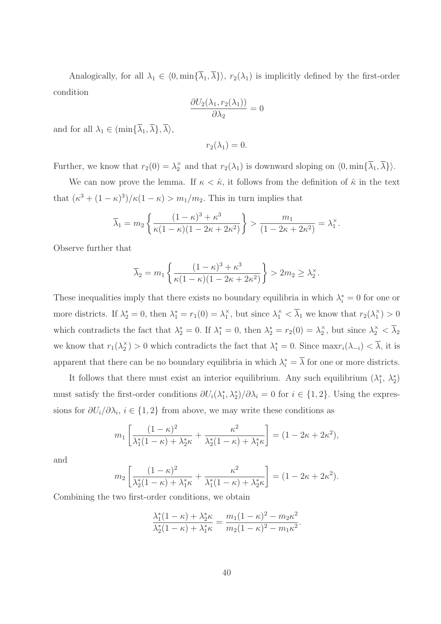Analogically, for all  $\lambda_1 \in \langle 0, \min\{\overline{\lambda}_1, \overline{\lambda}\}\rangle$ ,  $r_2(\lambda_1)$  is implicitly defined by the first-order condition

$$
\frac{\partial U_2(\lambda_1, r_2(\lambda_1))}{\partial \lambda_2} = 0
$$

and for all  $\lambda_1 \in (\min\{\overline{\lambda}_1, \overline{\lambda}\}, \overline{\lambda}),$ 

$$
r_2(\lambda_1)=0.
$$

Further, we know that  $r_2(0) = \lambda_2^{\times}$  and that  $r_2(\lambda_1)$  is downward sloping on  $\langle 0, \min\{\overline{\lambda}_1, \overline{\lambda}\}\rangle$ .

We can now prove the lemma. If  $\kappa < \hat{\kappa}$ , it follows from the definition of  $\hat{\kappa}$  in the text that  $(\kappa^3 + (1 - \kappa)^3)/\kappa(1 - \kappa) > m_1/m_2$ . This in turn implies that

$$
\overline{\lambda}_1 = m_2 \left\{ \frac{(1-\kappa)^3 + \kappa^3}{\kappa (1-\kappa)(1-2\kappa+2\kappa^2)} \right\} > \frac{m_1}{(1-2\kappa+2\kappa^2)} = \lambda_1^{\times}.
$$

Observe further that

$$
\overline{\lambda}_2 = m_1 \left\{ \frac{(1 - \kappa)^3 + \kappa^3}{\kappa (1 - \kappa)(1 - 2\kappa + 2\kappa^2)} \right\} > 2m_2 \ge \lambda_2^{\times}.
$$

These inequalities imply that there exists no boundary equilibria in which  $\lambda_i^* = 0$  for one or more districts. If  $\lambda_2^* = 0$ , then  $\lambda_1^* = r_1(0) = \lambda_1^*$  $\lambda_1^{\times}$ , but since  $\lambda_1^{\times} < \overline{\lambda}_1$  we know that  $r_2(\lambda_1^{\times})$  $_{1}^{x})>0$ which contradicts the fact that  $\lambda_2^* = 0$ . If  $\lambda_1^* = 0$ , then  $\lambda_2^* = r_2(0) = \lambda_2^*$  $\frac{\times}{2}$ , but since  $\lambda_2^{\times} < \overline{\lambda}_2$ we know that  $r_1(\lambda_2^{\times})$  $\lambda_2^{\times}$ ) > 0 which contradicts the fact that  $\lambda_1^* = 0$ . Since  $\max_{i} (\lambda_{-i}) < \overline{\lambda}$ , it is apparent that there can be no boundary equilibria in which  $\lambda_i^* = \overline{\lambda}$  for one or more districts.

It follows that there must exist an interior equilibrium. Any such equilibrium  $(\lambda_1^*$  $_{1}^{*}, \lambda_{2}^{*}$  $_{2}^{*}$ must satisfy the first-order conditions  $\partial U_i(\lambda_1^*)$  $\langle i, \lambda_2^* \rangle / \partial \lambda_i = 0$  for  $i \in \{1, 2\}$ . Using the expressions for  $\partial U_i/\partial \lambda_i$ ,  $i \in \{1,2\}$  from above, we may write these conditions as

$$
m_1 \left[ \frac{(1 - \kappa)^2}{\lambda_1^*(1 - \kappa) + \lambda_2^* \kappa} + \frac{\kappa^2}{\lambda_2^*(1 - \kappa) + \lambda_1^* \kappa} \right] = (1 - 2\kappa + 2\kappa^2),
$$

and

$$
m_2\left[\frac{(1-\kappa)^2}{\lambda_2^*(1-\kappa)+\lambda_1^*\kappa}+\frac{\kappa^2}{\lambda_1^*(1-\kappa)+\lambda_2^*\kappa}\right]=(1-2\kappa+2\kappa^2).
$$

Combining the two first-order conditions, we obtain

$$
\frac{\lambda_1^*(1-\kappa) + \lambda_2^*\kappa}{\lambda_2^*(1-\kappa) + \lambda_1^*\kappa} = \frac{m_1(1-\kappa)^2 - m_2\kappa^2}{m_2(1-\kappa)^2 - m_1\kappa^2}.
$$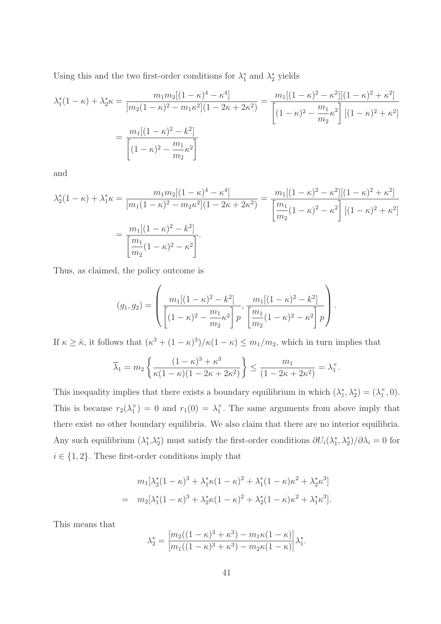Using this and the two first-order conditions for  $\lambda_1^*$  $_{1}^{*}$  and  $\lambda_{2}^{*}$  yields

$$
\lambda_1^*(1 - \kappa) + \lambda_2^* \kappa = \frac{m_1 m_2 [(1 - \kappa)^4 - \kappa^4]}{[m_2 (1 - \kappa)^2 - m_1 \kappa^2] (1 - 2\kappa + 2\kappa^2)} = \frac{m_1 [(1 - \kappa)^2 - \kappa^2] [(1 - \kappa)^2 + \kappa^2]}{[(1 - \kappa)^2 - \frac{m_1}{m_2} \kappa^2] [(1 - \kappa)^2 + \kappa^2]}
$$

$$
= \frac{m_1 [(1 - \kappa)^2 - k^2]}{[(1 - \kappa)^2 - \frac{m_1}{m_2} \kappa^2]}
$$

and

$$
\lambda_2^*(1-\kappa) + \lambda_1^*\kappa = \frac{m_1m_2[(1-\kappa)^4 - \kappa^4]}{[m_1(1-\kappa)^2 - m_2\kappa^2](1-2\kappa+2\kappa^2)} = \frac{m_1[(1-\kappa)^2 - \kappa^2][(1-\kappa)^2 + \kappa^2]}{\left[\frac{m_1}{m_2}(1-\kappa)^2 - \kappa^2\right][(1-\kappa)^2 + \kappa^2]}
$$

$$
= \frac{m_1[(1-\kappa)^2 - k^2]}{\left[\frac{m_1}{m_2}(1-\kappa)^2 - \kappa^2\right]}.
$$

Thus, as claimed, the policy outcome is

$$
(g_1, g_2) = \left( \frac{m_1[(1-\kappa)^2 - k^2]}{\left[ (1-\kappa)^2 - \frac{m_1}{m_2} \kappa^2 \right] p}, \frac{m_1[(1-\kappa)^2 - k^2]}{\left[ \frac{m_1}{m_2}(1-\kappa)^2 - \kappa^2 \right] p} \right).
$$

If  $\kappa \geq \hat{\kappa}$ , it follows that  $(\kappa^3 + (1 - \kappa)^3)/\kappa(1 - \kappa) \leq m_1/m_2$ , which in turn implies that

$$
\overline{\lambda}_1 = m_2 \left\{ \frac{(1 - \kappa)^3 + \kappa^3}{\kappa (1 - \kappa)(1 - 2\kappa + 2\kappa^2)} \right\} \le \frac{m_1}{(1 - 2\kappa + 2\kappa^2)} = \lambda_1^{\times}.
$$

This inequality implies that there exists a boundary equilibrium in which  $(\lambda_1^*$  $\lambda_1^*, \lambda_2^* = (\lambda_1^*$  $_1^{\times}$ , 0). This is because  $r_2(\lambda_1^{\times})$  $t_1^{\times}$  = 0 and  $r_1(0) = \lambda_1^{\times}$  $\frac{\lambda}{1}$ . The same arguments from above imply that there exist no other boundary equilibria. We also claim that there are no interior equilibria. Any such equilibrium  $(\lambda_1^*)$  $_{1}^{*},\lambda_{2}^{*}$ <sup>\*</sup><sub>2</sub>) must satisfy the first-order conditions  $\partial U_i(\lambda_1^*)$ <sup>\*</sup><sub>1</sub></sub>,  $\lambda_2^*$  $/\partial \lambda_i = 0$  for  $i \in \{1, 2\}$ . These first-order conditions imply that

$$
m_1[\lambda_2^*(1-\kappa)^3 + \lambda_1^*\kappa(1-\kappa)^2 + \lambda_1^*(1-\kappa)\kappa^2 + \lambda_2^*\kappa^3]
$$
  
= 
$$
m_2[\lambda_1^*(1-\kappa)^3 + \lambda_2^*\kappa(1-\kappa)^2 + \lambda_2^*(1-\kappa)\kappa^2 + \lambda_1^*\kappa^3].
$$

This means that

$$
\lambda_2^* = \frac{[m_2((1 - \kappa)^3 + \kappa^3) - m_1\kappa(1 - \kappa)]}{[m_1((1 - \kappa)^3 + \kappa^3) - m_2\kappa(1 - \kappa)]}\lambda_1^*.
$$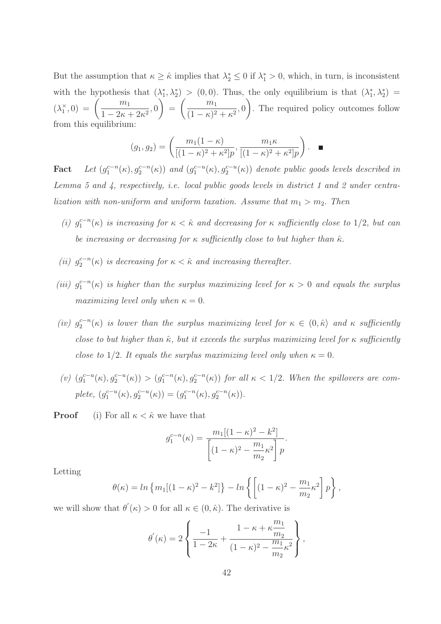But the assumption that  $\kappa \geq \hat{\kappa}$  implies that  $\lambda_2^* \leq 0$  if  $\lambda_1^* > 0$ , which, in turn, is inconsistent with the hypothesis that  $(\lambda_1^*)$  $\lambda_1^*, \lambda_2^*$  > (0,0). Thus, the only equilibrium is that  $(\lambda_1^*)$  $_{1}^{*},\lambda_{2}^{*})$  =  $(\lambda_1^{\times})$  $\binom{x}{1},0 = \left(\frac{m_1}{1-2\kappa}\right)$  $\frac{n_1}{1 - 2\kappa + 2\kappa^2}, 0$  $\setminus$ =  $\begin{pmatrix} m_1 \end{pmatrix}$  $\frac{m_1}{(1-\kappa)^2 + \kappa^2}$ , 0  $\setminus$ . The required policy outcomes follow from this equilibrium:

$$
(g_1, g_2) = \left(\frac{m_1(1-\kappa)}{[(1-\kappa)^2 + \kappa^2]p}, \frac{m_1\kappa}{[(1-\kappa)^2 + \kappa^2]p}\right). \quad \blacksquare
$$

Fact Let  $(g_1^{c-n}(\kappa), g_2^{c-n}(\kappa))$  and  $(g_1^{c-u}(\kappa), g_2^{c-u}(\kappa))$  denote public goods levels described in Lemma 5 and 4, respectively, i.e. local public goods levels in district 1 and 2 under centralization with non-uniform and uniform taxation. Assume that  $m_1 > m_2$ . Then

- (i)  $g_1^{c-n}(\kappa)$  is increasing for  $\kappa < \hat{\kappa}$  and decreasing for  $\kappa$  sufficiently close to 1/2, but can be increasing or decreasing for  $\kappa$  sufficiently close to but higher than  $\hat{\kappa}$ .
- (ii)  $g_2^{c-n}(\kappa)$  is decreasing for  $\kappa < \hat{\kappa}$  and increasing thereafter.
- (iii)  $g_1^{c-n}(\kappa)$  is higher than the surplus maximizing level for  $\kappa > 0$  and equals the surplus maximizing level only when  $\kappa = 0$ .
- (iv)  $g_2^{c-n}(\kappa)$  is lower than the surplus maximizing level for  $\kappa \in (0, \hat{\kappa})$  and  $\kappa$  sufficiently close to but higher than  $\hat{\kappa}$ , but it exceeds the surplus maximizing level for  $\kappa$  sufficiently close to 1/2. It equals the surplus maximizing level only when  $\kappa = 0$ .
- (v)  $(g_1^{c-u}(\kappa), g_2^{c-u}(\kappa)) > (g_1^{c-n}(\kappa), g_2^{c-n}(\kappa))$  for all  $\kappa < 1/2$ . When the spillovers are complete,  $(g_1^{c-u}(\kappa), g_2^{c-u}(\kappa)) = (g_1^{c-n}(\kappa), g_2^{c-n}(\kappa)).$

**Proof** (i) For all  $\kappa < \hat{\kappa}$  we have that

$$
g_1^{c-n}(\kappa) = \frac{m_1[(1-\kappa)^2 - k^2]}{\left[(1-\kappa)^2 - \frac{m_1}{m_2}\kappa^2\right]p}.
$$

Letting

$$
\theta(\kappa) = \ln \{ m_1 [(1 - \kappa)^2 - k^2] \} - \ln \left\{ \left[ (1 - \kappa)^2 - \frac{m_1}{m_2} \kappa^2 \right] p \right\},\,
$$

we will show that  $\theta'(\kappa) > 0$  for all  $\kappa \in (0, \hat{\kappa})$ . The derivative is

$$
\theta'(\kappa) = 2\left\{\frac{-1}{1-2\kappa} + \frac{1-\kappa + \kappa \frac{m_1}{m_2}}{(1-\kappa)^2 - \frac{m_1}{m_2}\kappa^2}\right\},\,
$$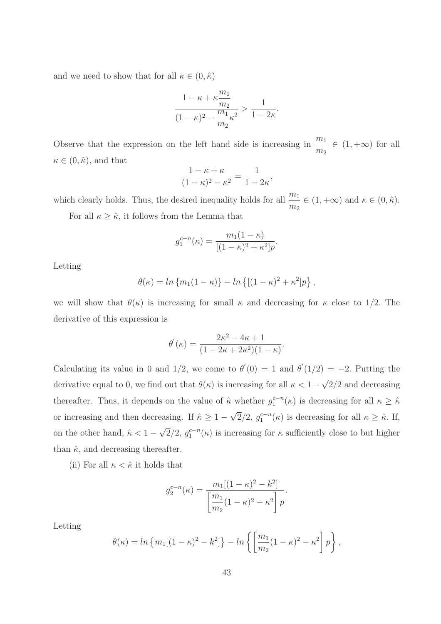and we need to show that for all  $\kappa \in (0, \hat{\kappa})$ 

$$
\frac{1-\kappa+\kappa\frac{m_1}{m_2}}{(1-\kappa)^2-\displaystyle\frac{m_1}{m_2}\kappa^2}>\frac{1}{1-2\kappa}.
$$

Observe that the expression on the left hand side is increasing in  $\frac{m_1}{n_1}$  $\frac{m_1}{m_2} \in (1, +\infty)$  for all  $\kappa \in (0, \hat{\kappa})$ , and that

$$
\frac{1 - \kappa + \kappa}{(1 - \kappa)^2 - \kappa^2} = \frac{1}{1 - 2\kappa},
$$

which clearly holds. Thus, the desired inequality holds for all  $\frac{m_1}{1}$  $\frac{m_1}{m_2} \in (1, +\infty)$  and  $\kappa \in (0, \hat{\kappa}).$ 

For all  $\kappa \geq \hat{\kappa}$ , it follows from the Lemma that

$$
g_1^{c-n}(\kappa) = \frac{m_1(1-\kappa)}{[(1-\kappa)^2 + \kappa^2]p}.
$$

Letting

$$
\theta(\kappa) = \ln \{m_1(1 - \kappa)\} - \ln \{[(1 - \kappa)^2 + \kappa^2]p\},\,
$$

we will show that  $\theta(\kappa)$  is increasing for small  $\kappa$  and decreasing for  $\kappa$  close to 1/2. The derivative of this expression is

$$
\theta'(\kappa) = \frac{2\kappa^2 - 4\kappa + 1}{(1 - 2\kappa + 2\kappa^2)(1 - \kappa)}.
$$

Calculating its value in 0 and 1/2, we come to  $\theta'(0) = 1$  and  $\theta'(1/2) = -2$ . Putting the derivative equal to 0, we find out that  $\theta(\kappa)$  is increasing for all  $\kappa < 1 - \sqrt{2}/2$  and decreasing thereafter. Thus, it depends on the value of  $\hat{\kappa}$  whether  $g_1^{c-n}(\kappa)$  is decreasing for all  $\kappa \geq \hat{\kappa}$ or increasing and then decreasing. If  $\hat{\kappa} \geq 1 - \sqrt{2}/2$ ,  $g_1^{c-n}(\kappa)$  is decreasing for all  $\kappa \geq \hat{\kappa}$ . If, on the other hand,  $\hat{\kappa} < 1 - \sqrt{2}/2$ ,  $g_1^{c-n}(\kappa)$  is increasing for  $\kappa$  sufficiently close to but higher than  $\hat{\kappa}$ , and decreasing thereafter.

(ii) For all  $\kappa < \hat{\kappa}$  it holds that

$$
g_2^{c-n}(\kappa) = \frac{m_1[(1-\kappa)^2 - k^2]}{\left[\frac{m_1}{m_2}(1-\kappa)^2 - \kappa^2\right]p}.
$$

Letting

$$
\theta(\kappa) = \ln \{ m_1 [(1 - \kappa)^2 - k^2] \} - \ln \left\{ \left[ \frac{m_1}{m_2} (1 - \kappa)^2 - \kappa^2 \right] p \right\},\,
$$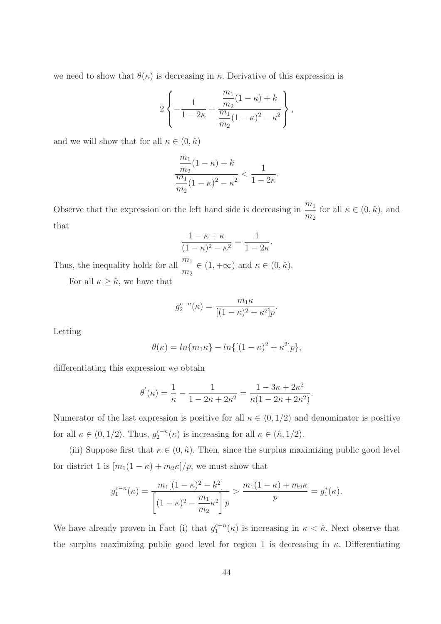we need to show that  $\theta(\kappa)$  is decreasing in  $\kappa$ . Derivative of this expression is

$$
2\left\{-\frac{1}{1-2\kappa} + \frac{\frac{m_1}{m_2}(1-\kappa) + k}{\frac{m_1}{m_2}(1-\kappa)^2 - \kappa^2}\right\},\,
$$

and we will show that for all  $\kappa \in (0, \hat{\kappa})$ 

$$
\frac{\frac{m_1}{m_2}(1-\kappa)+k}{\frac{m_1}{m_2}(1-\kappa)^2-\kappa^2} < \frac{1}{1-2\kappa}.
$$

Observe that the expression on the left hand side is decreasing in  $\frac{m_1}{n_1}$  $\frac{m_1}{m_2}$  for all  $\kappa \in (0, \hat{\kappa})$ , and that

$$
\frac{1 - \kappa + \kappa}{(1 - \kappa)^2 - \kappa^2} = \frac{1}{1 - 2\kappa}.
$$

Thus, the inequality holds for all  $\frac{m_1}{1}$  $\frac{m_1}{m_2} \in (1, +\infty)$  and  $\kappa \in (0, \hat{\kappa}).$ 

For all  $\kappa \geq \hat{\kappa}$ , we have that

$$
g_2^{c-n}(\kappa) = \frac{m_1 \kappa}{[(1-\kappa)^2 + \kappa^2]p}.
$$

Letting

$$
\theta(\kappa) = \ln\{m_1\kappa\} - \ln\{[(1-\kappa)^2 + \kappa^2]p\},\
$$

differentiating this expression we obtain

$$
\theta'(\kappa) = \frac{1}{\kappa} - \frac{1}{1 - 2\kappa + 2\kappa^2} = \frac{1 - 3\kappa + 2\kappa^2}{\kappa(1 - 2\kappa + 2\kappa^2)}.
$$

Numerator of the last expression is positive for all  $\kappa \in (0, 1/2)$  and denominator is positive for all  $\kappa \in (0, 1/2)$ . Thus,  $g_2^{c-n}(\kappa)$  is increasing for all  $\kappa \in (\hat{\kappa}, 1/2)$ .

(iii) Suppose first that  $\kappa \in (0, \hat{\kappa})$ . Then, since the surplus maximizing public good level for district 1 is  $[m_1(1 - \kappa) + m_2\kappa]/p$ , we must show that

$$
g_1^{c-n}(\kappa) = \frac{m_1[(1-\kappa)^2 - k^2]}{\left[(1-\kappa)^2 - \frac{m_1}{m_2}\kappa^2\right]p} > \frac{m_1(1-\kappa) + m_2\kappa}{p} = g_1^*(\kappa).
$$

We have already proven in Fact (i) that  $g_1^{c-n}(\kappa)$  is increasing in  $\kappa < \hat{\kappa}$ . Next observe that the surplus maximizing public good level for region 1 is decreasing in  $\kappa$ . Differentiating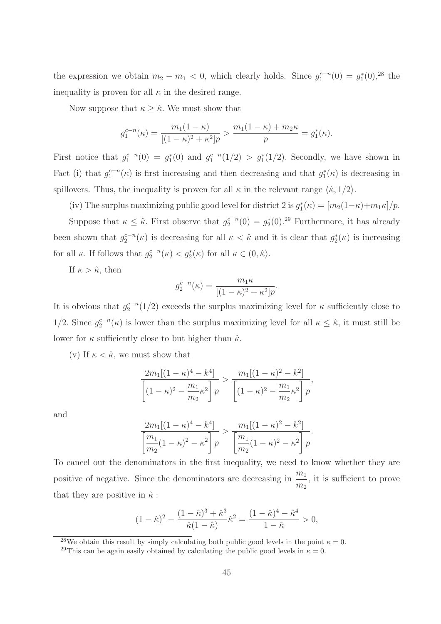the expression we obtain  $m_2 - m_1 < 0$ , which clearly holds. Since  $g_1^{c-n}(0) = g_1^*$  $_{1}^{*}(0),^{28}$  the inequality is proven for all  $\kappa$  in the desired range.

Now suppose that  $\kappa \geq \hat{\kappa}$ . We must show that

$$
g_1^{c-n}(\kappa) = \frac{m_1(1-\kappa)}{[(1-\kappa)^2 + \kappa^2]p} > \frac{m_1(1-\kappa) + m_2\kappa}{p} = g_1^*(\kappa).
$$

First notice that  $g_1^{c-n}(0) = g_1^*$  $_1^{*}(0)$  and  $g_1^{c-n}(1/2) > g_1^{*}(1/2)$ . Secondly, we have shown in Fact (i) that  $g_1^{c-n}(\kappa)$  is first increasing and then decreasing and that  $g_1^*$  $j_1^*(\kappa)$  is decreasing in spillovers. Thus, the inequality is proven for all  $\kappa$  in the relevant range  $\langle \hat{\kappa}, 1/2 \rangle$ .

(iv) The surplus maximizing public good level for district 2 is  $g_1^*$  $j_1^*(\kappa) = [m_2(1-\kappa)+m_1\kappa]/p.$ Suppose that  $\kappa \leq \hat{\kappa}$ . First observe that  $g_2^{c-n}(0) = g_2^*$  $_{2}^{*}(0)$ .<sup>29</sup> Furthermore, it has already been shown that  $g_2^{c-n}(\kappa)$  is decreasing for all  $\kappa < \hat{\kappa}$  and it is clear that  $g_2^*$  $2^*(\kappa)$  is increasing for all  $\kappa$ . If follows that  $g_2^{c-n}(\kappa) < g_2^*(\kappa)$  for all  $\kappa \in (0, \hat{\kappa})$ .

If  $\kappa > \hat{\kappa}$ , then

$$
g_2^{c-n}(\kappa) = \frac{m_1 \kappa}{[(1-\kappa)^2 + \kappa^2]p}
$$

.

It is obvious that  $g_2^{c-n}(1/2)$  exceeds the surplus maximizing level for  $\kappa$  sufficiently close to 1/2. Since  $g_2^{c-n}(\kappa)$  is lower than the surplus maximizing level for all  $\kappa \leq \hat{\kappa}$ , it must still be lower for  $\kappa$  sufficiently close to but higher than  $\hat{\kappa}$ .

(v) If  $\kappa < \hat{\kappa}$ , we must show that

$$
\frac{2m_1[(1-\kappa)^4 - k^4]}{\left[(1-\kappa)^2 - \frac{m_1}{m_2}\kappa^2\right]p} > \frac{m_1[(1-\kappa)^2 - k^2]}{\left[(1-\kappa)^2 - \frac{m_1}{m_2}\kappa^2\right]p},
$$

and

$$
\frac{2m_1[(1-\kappa)^4 - k^4]}{m_2(1-\kappa)^2 - \kappa^2} > \frac{m_1[(1-\kappa)^2 - k^2]}{m_2(1-\kappa)^2 - \kappa^2}.
$$

To cancel out the denominators in the first inequality, we need to know whether they are positive of negative. Since the denominators are decreasing in  $\frac{m_1}{m_2}$  $m<sub>2</sub>$ , it is sufficient to prove that they are positive in  $\hat{\kappa}$ :

$$
(1 - \hat{\kappa})^2 - \frac{(1 - \hat{\kappa})^3 + \hat{\kappa}^3}{\hat{\kappa}(1 - \hat{\kappa})} \hat{\kappa}^2 = \frac{(1 - \hat{\kappa})^4 - \hat{\kappa}^4}{1 - \hat{\kappa}} > 0,
$$

<sup>28</sup>We obtain this result by simply calculating both public good levels in the point  $\kappa = 0$ .

<sup>&</sup>lt;sup>29</sup>This can be again easily obtained by calculating the public good levels in  $\kappa = 0$ .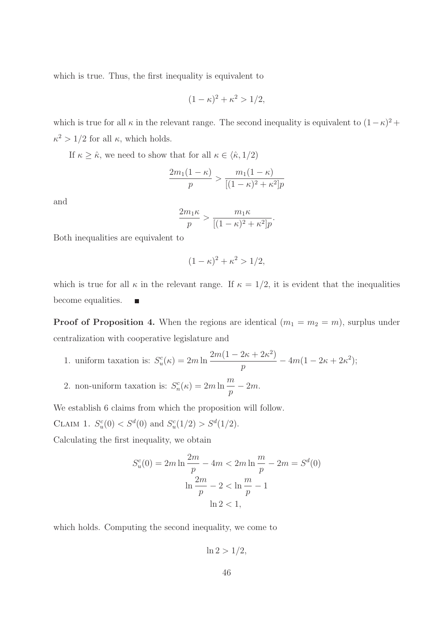which is true. Thus, the first inequality is equivalent to

$$
(1 - \kappa)^2 + \kappa^2 > 1/2,
$$

which is true for all  $\kappa$  in the relevant range. The second inequality is equivalent to  $(1 - \kappa)^2$  +  $\kappa^2 > 1/2$  for all  $\kappa$ , which holds.

If  $\kappa \geq \hat{\kappa}$ , we need to show that for all  $\kappa \in \langle \hat{\kappa}, 1/2 \rangle$ 

$$
\frac{2m_1(1-\kappa)}{p} > \frac{m_1(1-\kappa)}{[(1-\kappa)^2 + \kappa^2]p}
$$

and

$$
\frac{2m_1\kappa}{p} > \frac{m_1\kappa}{[(1-\kappa)^2 + \kappa^2]p}.
$$

Both inequalities are equivalent to

$$
(1 - \kappa)^2 + \kappa^2 > 1/2,
$$

which is true for all  $\kappa$  in the relevant range. If  $\kappa = 1/2$ , it is evident that the inequalities become equalities. г

**Proof of Proposition 4.** When the regions are identical  $(m_1 = m_2 = m)$ , surplus under centralization with cooperative legislature and

- 1. uniform taxation is:  $S_u^c(\kappa) = 2m \ln \frac{2m(1 2\kappa + 2\kappa^2)}{n}$  $\frac{2\kappa + 2\kappa}{p}$  –  $4m(1 - 2\kappa + 2\kappa^2);$
- 2. non-uniform taxation is:  $S_n^c(\kappa) = 2m \ln \frac{m}{n}$  $\frac{n}{p}-2m.$

We establish 6 claims from which the proposition will follow.

CLAIM 1.  $S_u^c(0) < S^d(0)$  and  $S_u^c(1/2) > S^d(1/2)$ .

Calculating the first inequality, we obtain

$$
S_u^c(0) = 2m \ln \frac{2m}{p} - 4m < 2m \ln \frac{m}{p} - 2m = S^d(0)
$$
\n
$$
\ln \frac{2m}{p} - 2 < \ln \frac{m}{p} - 1
$$
\n
$$
\ln 2 < 1,
$$

which holds. Computing the second inequality, we come to

$$
\ln 2 > 1/2,
$$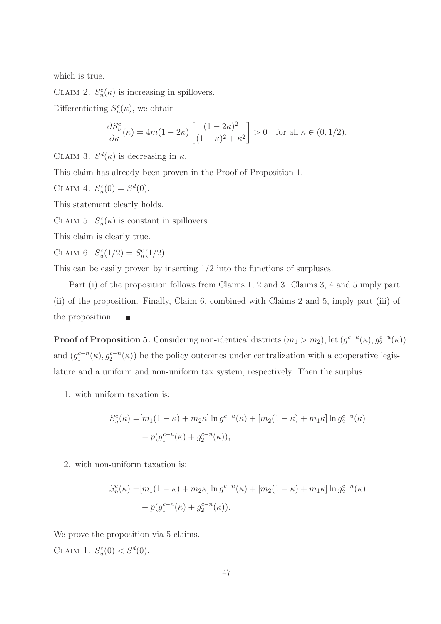which is true.

CLAIM 2.  $S_u^c(\kappa)$  is increasing in spillovers.

Differentiating  $S_u^c(\kappa)$ , we obtain

$$
\frac{\partial S_u^c}{\partial \kappa}(\kappa) = 4m(1 - 2\kappa) \left[ \frac{(1 - 2\kappa)^2}{(1 - \kappa)^2 + \kappa^2} \right] > 0 \quad \text{for all } \kappa \in (0, 1/2).
$$

CLAIM 3.  $S^d(\kappa)$  is decreasing in  $\kappa$ .

This claim has already been proven in the Proof of Proposition 1.

CLAIM 4.  $S_n^c(0) = S^d(0)$ .

This statement clearly holds.

CLAIM 5.  $S_n^c(\kappa)$  is constant in spillovers.

This claim is clearly true.

CLAIM 6.  $S_u^c(1/2) = S_n^c(1/2)$ .

This can be easily proven by inserting  $1/2$  into the functions of surpluses.

Part (i) of the proposition follows from Claims 1, 2 and 3. Claims 3, 4 and 5 imply part (ii) of the proposition. Finally, Claim 6, combined with Claims 2 and 5, imply part (iii) of the proposition.  $\blacksquare$ 

**Proof of Proposition 5.** Considering non-identical districts  $(m_1 > m_2)$ , let  $(g_1^{c-u}(\kappa), g_2^{c-u}(\kappa))$ and  $(g_1^{c-n}(\kappa), g_2^{c-n}(\kappa))$  be the policy outcomes under centralization with a cooperative legislature and a uniform and non-uniform tax system, respectively. Then the surplus

1. with uniform taxation is:

$$
S_u^c(\kappa) = [m_1(1 - \kappa) + m_2 \kappa] \ln g_1^{c-u}(\kappa) + [m_2(1 - \kappa) + m_1 \kappa] \ln g_2^{c-u}(\kappa)
$$
  
-  $p(g_1^{c-u}(\kappa) + g_2^{c-u}(\kappa));$ 

2. with non-uniform taxation is:

$$
S_n^c(\kappa) = [m_1(1 - \kappa) + m_2 \kappa] \ln g_1^{c-n}(\kappa) + [m_2(1 - \kappa) + m_1 \kappa] \ln g_2^{c-n}(\kappa)
$$
  
-  $p(g_1^{c-n}(\kappa) + g_2^{c-n}(\kappa)).$ 

We prove the proposition via 5 claims. CLAIM 1.  $S_u^c(0) < S^d(0)$ .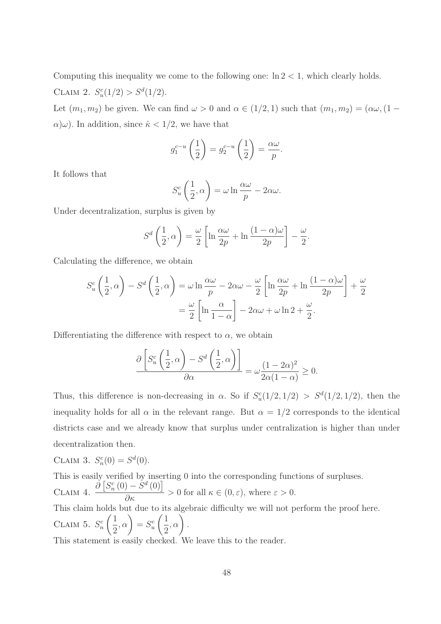Computing this inequality we come to the following one:  $\ln 2 < 1$ , which clearly holds. CLAIM 2.  $S_u^c(1/2) > S_d^d(1/2)$ .

Let  $(m_1, m_2)$  be given. We can find  $\omega > 0$  and  $\alpha \in (1/2, 1)$  such that  $(m_1, m_2) = (\alpha \omega, (1 \alpha(\omega)$ . In addition, since  $\hat{\kappa} < 1/2$ , we have that

$$
g_1^{c-u}\left(\frac{1}{2}\right) = g_2^{c-u}\left(\frac{1}{2}\right) = \frac{\alpha\omega}{p}.
$$

It follows that

$$
S_u^c\left(\frac{1}{2},\alpha\right) = \omega \ln \frac{\alpha\omega}{p} - 2\alpha\omega.
$$

Under decentralization, surplus is given by

$$
S^{d}\left(\frac{1}{2},\alpha\right) = \frac{\omega}{2}\left[\ln\frac{\alpha\omega}{2p} + \ln\frac{(1-\alpha)\omega}{2p}\right] - \frac{\omega}{2}.
$$

Calculating the difference, we obtain

$$
S_u^c \left(\frac{1}{2}, \alpha\right) - S^d \left(\frac{1}{2}, \alpha\right) = \omega \ln \frac{\alpha \omega}{p} - 2\alpha \omega - \frac{\omega}{2} \left[ \ln \frac{\alpha \omega}{2p} + \ln \frac{(1 - \alpha)\omega}{2p} \right] + \frac{\omega}{2}
$$

$$
= \frac{\omega}{2} \left[ \ln \frac{\alpha}{1 - \alpha} \right] - 2\alpha \omega + \omega \ln 2 + \frac{\omega}{2}.
$$

Differentiating the difference with respect to  $\alpha$ , we obtain

$$
\frac{\partial \left[ S_u^c \left( \frac{1}{2}, \alpha \right) - S^d \left( \frac{1}{2}, \alpha \right) \right]}{\partial \alpha} = \omega \frac{(1 - 2\alpha)^2}{2\alpha(1 - \alpha)} \ge 0.
$$

Thus, this difference is non-decreasing in  $\alpha$ . So if  $S_u^c(1/2, 1/2) > S_d^d(1/2, 1/2)$ , then the inequality holds for all  $\alpha$  in the relevant range. But  $\alpha = 1/2$  corresponds to the identical districts case and we already know that surplus under centralization is higher than under decentralization then.

CLAIM 3. 
$$
S_n^c(0) = S^d(0)
$$
.  
This is easily verified by inserting 0 into the corresponding functions of surpluses.  
CLAIM 4.  $\frac{\partial [S_n^c(0) - S^d(0)]}{\partial \kappa} > 0$  for all  $\kappa \in (0, \varepsilon)$ , where  $\varepsilon > 0$ .  
This claim holds but due to its algebraic difficulty we will not perform the proof here.  
CLAIM 5.  $S_n^c\left(\frac{1}{2}, \alpha\right) = S_u^c\left(\frac{1}{2}, \alpha\right)$ .  
This statement is easily checked. We leave this to the reader.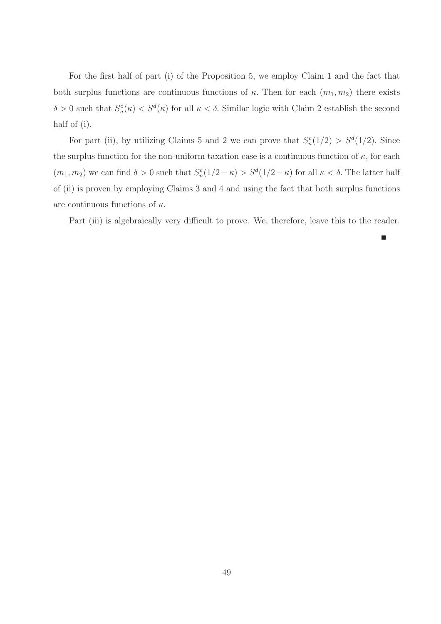For the first half of part (i) of the Proposition 5, we employ Claim 1 and the fact that both surplus functions are continuous functions of  $\kappa$ . Then for each  $(m_1, m_2)$  there exists  $\delta > 0$  such that  $S_u^c(\kappa) < S^d(\kappa)$  for all  $\kappa < \delta$ . Similar logic with Claim 2 establish the second half of (i).

For part (ii), by utilizing Claims 5 and 2 we can prove that  $S_n^c(1/2) > S^d(1/2)$ . Since the surplus function for the non-uniform taxation case is a continuous function of  $\kappa$ , for each  $(m_1, m_2)$  we can find  $\delta > 0$  such that  $S_n^c(1/2 - \kappa) > S^d(1/2 - \kappa)$  for all  $\kappa < \delta$ . The latter half of (ii) is proven by employing Claims 3 and 4 and using the fact that both surplus functions are continuous functions of  $\kappa$ .

Part (iii) is algebraically very difficult to prove. We, therefore, leave this to the reader.

п